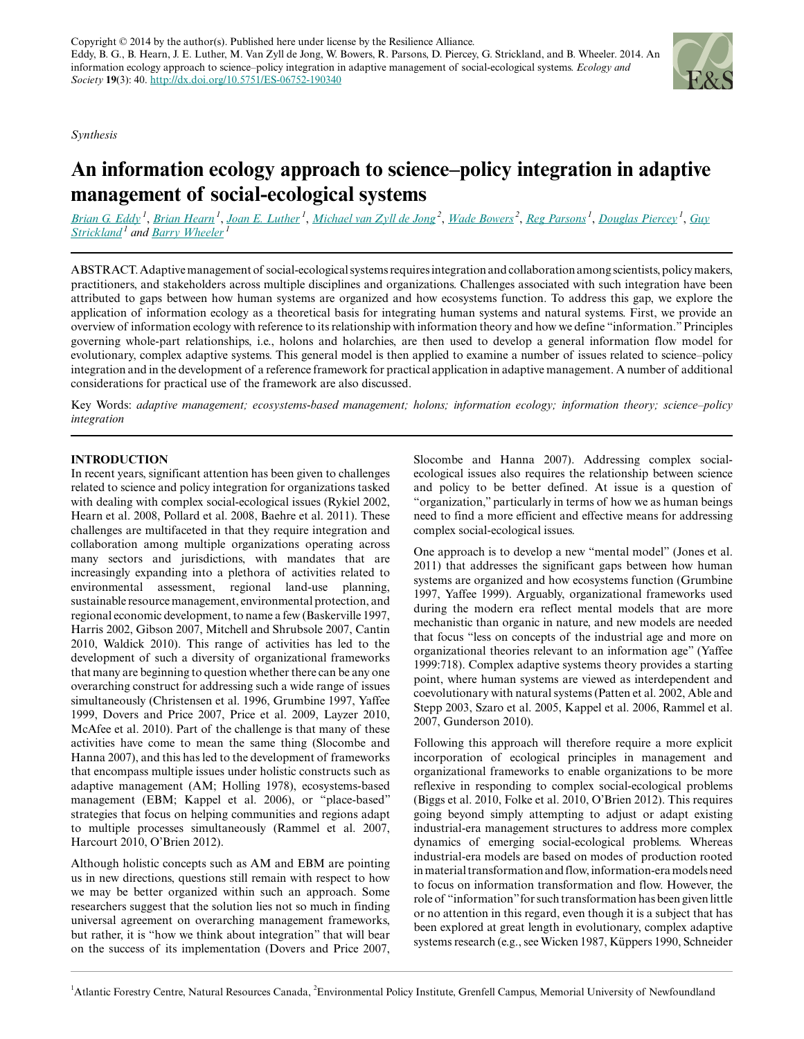*Synthesis*



# **An information ecology approach to science–policy integration in adaptive management of social-ecological systems**

<u>[Brian G. Eddy](mailto:Brian.Eddy@NRCan.gc.ca) <sup>1</sup>, [Brian Hearn](mailto:Brian.Hearn@NRCan-RNCan.gc.ca) <sup>1</sup>, [Joan E. Luther](mailto:JoanE.Luther@NRCan-RNCan.gc.ca) <sup>1</sup>, [Michael van Zyll de Jong](mailto:michaelv@grenfell.mun.ca) <sup>2</sup>, [Wade Bowers](mailto:wbowers@grenfell.mun.ca) <sup>2</sup>, [Reg Parsons](mailto:Reg.Parsons@NRCan-RNCan.gc.ca) <sup>1</sup>, [Douglas Piercey](mailto:Douglas.Piercey@NRCan-RNCan.gc.ca) <sup>1</sup>, [Guy](mailto:Guy.Strickland@NRCan-RNCan.gc.ca)</u> *[Strickland](mailto:Guy.Strickland@NRCan-RNCan.gc.ca)<sup>1</sup>* and *[Barry Wheeler](mailto:Barry.Wheeler@NRCan-RNCan.gc.ca)* 

ABSTRACT. Adaptive management of social-ecological systems requires integration and collaboration among scientists, policy makers, practitioners, and stakeholders across multiple disciplines and organizations. Challenges associated with such integration have been attributed to gaps between how human systems are organized and how ecosystems function. To address this gap, we explore the application of information ecology as a theoretical basis for integrating human systems and natural systems. First, we provide an overview of information ecology with reference to its relationship with information theory and how we define "information." Principles governing whole-part relationships, i.e., holons and holarchies, are then used to develop a general information flow model for evolutionary, complex adaptive systems. This general model is then applied to examine a number of issues related to science–policy integration and in the development of a reference framework for practical application in adaptive management. A number of additional considerations for practical use of the framework are also discussed.

Key Words: *adaptive management; ecosystems-based management; holons; information ecology; information theory; science–policy integration*

# **INTRODUCTION**

In recent years, significant attention has been given to challenges related to science and policy integration for organizations tasked with dealing with complex social-ecological issues (Rykiel 2002, Hearn et al. 2008, Pollard et al. 2008, Baehre et al. 2011). These challenges are multifaceted in that they require integration and collaboration among multiple organizations operating across many sectors and jurisdictions, with mandates that are increasingly expanding into a plethora of activities related to environmental assessment, regional land-use planning, sustainable resource management, environmental protection, and regional economic development, to name a few (Baskerville 1997, Harris 2002, Gibson 2007, Mitchell and Shrubsole 2007, Cantin 2010, Waldick 2010). This range of activities has led to the development of such a diversity of organizational frameworks that many are beginning to question whether there can be any one overarching construct for addressing such a wide range of issues simultaneously (Christensen et al. 1996, Grumbine 1997, Yaffee 1999, Dovers and Price 2007, Price et al. 2009, Layzer 2010, McAfee et al. 2010). Part of the challenge is that many of these activities have come to mean the same thing (Slocombe and Hanna 2007), and this has led to the development of frameworks that encompass multiple issues under holistic constructs such as adaptive management (AM; Holling 1978), ecosystems-based management (EBM; Kappel et al. 2006), or "place-based" strategies that focus on helping communities and regions adapt to multiple processes simultaneously (Rammel et al. 2007, Harcourt 2010, O'Brien 2012).

Although holistic concepts such as AM and EBM are pointing us in new directions, questions still remain with respect to how we may be better organized within such an approach. Some researchers suggest that the solution lies not so much in finding universal agreement on overarching management frameworks, but rather, it is "how we think about integration" that will bear on the success of its implementation (Dovers and Price 2007, Slocombe and Hanna 2007). Addressing complex socialecological issues also requires the relationship between science and policy to be better defined. At issue is a question of "organization," particularly in terms of how we as human beings need to find a more efficient and effective means for addressing complex social-ecological issues.

One approach is to develop a new "mental model" (Jones et al. 2011) that addresses the significant gaps between how human systems are organized and how ecosystems function (Grumbine 1997, Yaffee 1999). Arguably, organizational frameworks used during the modern era reflect mental models that are more mechanistic than organic in nature, and new models are needed that focus "less on concepts of the industrial age and more on organizational theories relevant to an information age" (Yaffee 1999:718). Complex adaptive systems theory provides a starting point, where human systems are viewed as interdependent and coevolutionary with natural systems (Patten et al. 2002, Able and Stepp 2003, Szaro et al. 2005, Kappel et al. 2006, Rammel et al. 2007, Gunderson 2010).

Following this approach will therefore require a more explicit incorporation of ecological principles in management and organizational frameworks to enable organizations to be more reflexive in responding to complex social-ecological problems (Biggs et al. 2010, Folke et al. 2010, O'Brien 2012). This requires going beyond simply attempting to adjust or adapt existing industrial-era management structures to address more complex dynamics of emerging social-ecological problems. Whereas industrial-era models are based on modes of production rooted in material transformation and flow, information-era models need to focus on information transformation and flow. However, the role of "information" for such transformation has been given little or no attention in this regard, even though it is a subject that has been explored at great length in evolutionary, complex adaptive systems research (e.g., see Wicken 1987, Küppers 1990, Schneider

<sup>&</sup>lt;sup>1</sup>Atlantic Forestry Centre, Natural Resources Canada, <sup>2</sup>Environmental Policy Institute, Grenfell Campus, Memorial University of Newfoundland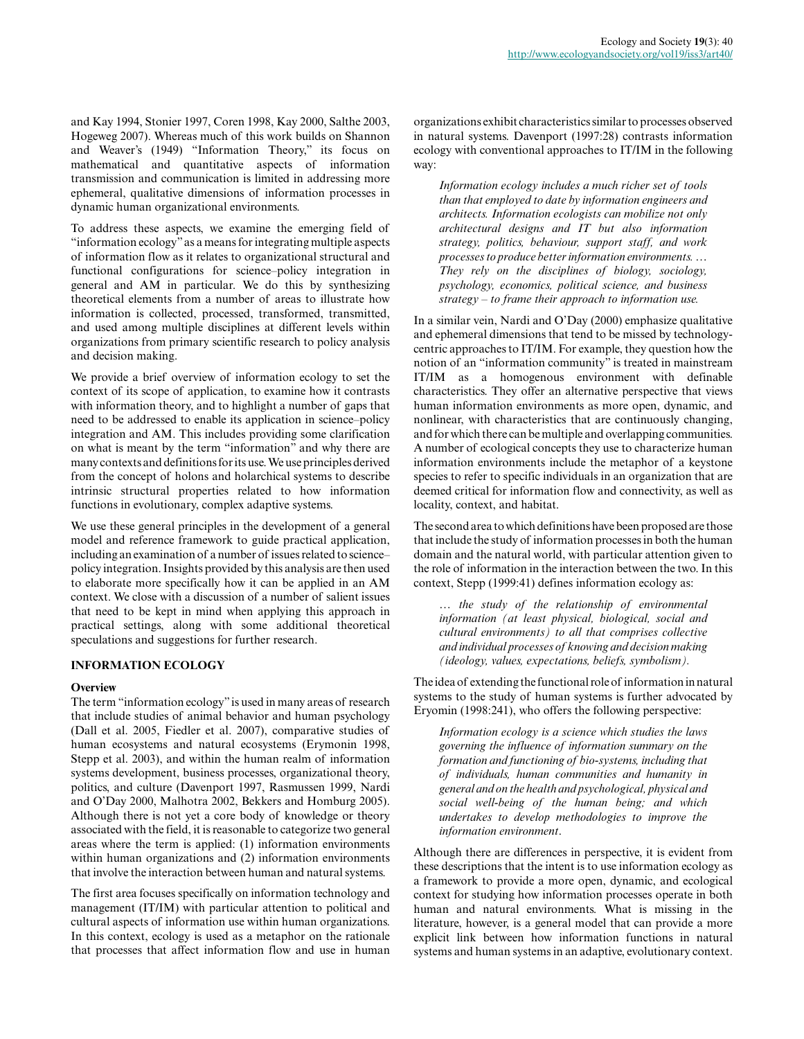and Kay 1994, Stonier 1997, Coren 1998, Kay 2000, Salthe 2003, Hogeweg 2007). Whereas much of this work builds on Shannon and Weaver's (1949) "Information Theory," its focus on mathematical and quantitative aspects of information transmission and communication is limited in addressing more ephemeral, qualitative dimensions of information processes in dynamic human organizational environments.

To address these aspects, we examine the emerging field of "information ecology" as a means for integrating multiple aspects of information flow as it relates to organizational structural and functional configurations for science–policy integration in general and AM in particular. We do this by synthesizing theoretical elements from a number of areas to illustrate how information is collected, processed, transformed, transmitted, and used among multiple disciplines at different levels within organizations from primary scientific research to policy analysis and decision making.

We provide a brief overview of information ecology to set the context of its scope of application, to examine how it contrasts with information theory, and to highlight a number of gaps that need to be addressed to enable its application in science–policy integration and AM. This includes providing some clarification on what is meant by the term "information" and why there are many contexts and definitions for its use. We use principles derived from the concept of holons and holarchical systems to describe intrinsic structural properties related to how information functions in evolutionary, complex adaptive systems.

We use these general principles in the development of a general model and reference framework to guide practical application, including an examination of a number of issues related to science– policy integration. Insights provided by this analysis are then used to elaborate more specifically how it can be applied in an AM context. We close with a discussion of a number of salient issues that need to be kept in mind when applying this approach in practical settings, along with some additional theoretical speculations and suggestions for further research.

# **INFORMATION ECOLOGY**

## **Overview**

The term "information ecology" is used in many areas of research that include studies of animal behavior and human psychology (Dall et al. 2005, Fiedler et al. 2007), comparative studies of human ecosystems and natural ecosystems (Erymonin 1998, Stepp et al. 2003), and within the human realm of information systems development, business processes, organizational theory, politics, and culture (Davenport 1997, Rasmussen 1999, Nardi and O'Day 2000, Malhotra 2002, Bekkers and Homburg 2005). Although there is not yet a core body of knowledge or theory associated with the field, it is reasonable to categorize two general areas where the term is applied: (1) information environments within human organizations and (2) information environments that involve the interaction between human and natural systems.

The first area focuses specifically on information technology and management (IT/IM) with particular attention to political and cultural aspects of information use within human organizations. In this context, ecology is used as a metaphor on the rationale that processes that affect information flow and use in human organizations exhibit characteristics similar to processes observed in natural systems. Davenport (1997:28) contrasts information ecology with conventional approaches to IT/IM in the following way:

*Information ecology includes a much richer set of tools than that employed to date by information engineers and architects. Information ecologists can mobilize not only architectural designs and IT but also information strategy, politics, behaviour, support staff, and work processes to produce better information environments. … They rely on the disciplines of biology, sociology, psychology, economics, political science, and business strategy – to frame their approach to information use.*

In a similar vein, Nardi and O'Day (2000) emphasize qualitative and ephemeral dimensions that tend to be missed by technologycentric approaches to IT/IM. For example, they question how the notion of an "information community" is treated in mainstream IT/IM as a homogenous environment with definable characteristics. They offer an alternative perspective that views human information environments as more open, dynamic, and nonlinear, with characteristics that are continuously changing, and for which there can be multiple and overlapping communities. A number of ecological concepts they use to characterize human information environments include the metaphor of a keystone species to refer to specific individuals in an organization that are deemed critical for information flow and connectivity, as well as locality, context, and habitat.

The second area to which definitions have been proposed are those that include the study of information processes in both the human domain and the natural world, with particular attention given to the role of information in the interaction between the two. In this context, Stepp (1999:41) defines information ecology as:

*… the study of the relationship of environmental information (at least physical, biological, social and cultural environments) to all that comprises collective and individual processes of knowing and decision making (ideology, values, expectations, beliefs, symbolism).*

The idea of extending the functional role of information in natural systems to the study of human systems is further advocated by Eryomin (1998:241), who offers the following perspective:

*Information ecology is a science which studies the laws governing the influence of information summary on the formation and functioning of bio-systems, including that of individuals, human communities and humanity in general and on the health and psychological, physical and social well-being of the human being; and which undertakes to develop methodologies to improve the information environment*.

Although there are differences in perspective, it is evident from these descriptions that the intent is to use information ecology as a framework to provide a more open, dynamic, and ecological context for studying how information processes operate in both human and natural environments. What is missing in the literature, however, is a general model that can provide a more explicit link between how information functions in natural systems and human systems in an adaptive, evolutionary context.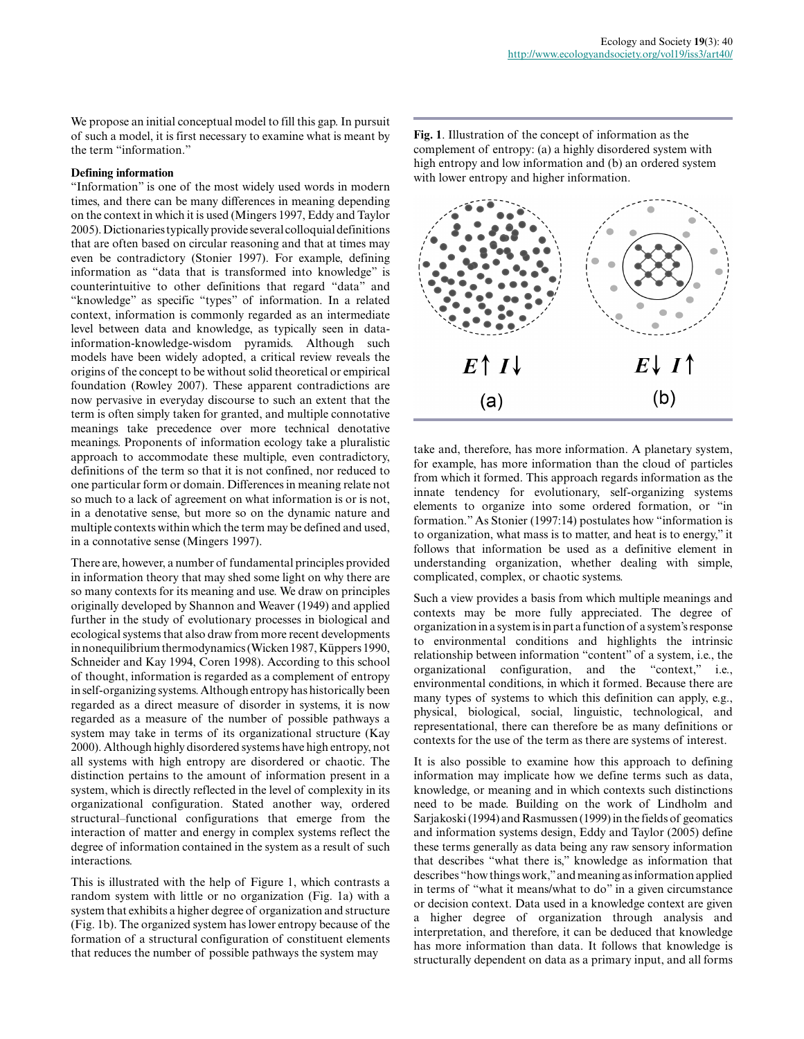We propose an initial conceptual model to fill this gap. In pursuit of such a model, it is first necessary to examine what is meant by the term "information."

# **Defining information**

"Information" is one of the most widely used words in modern times, and there can be many differences in meaning depending on the context in which it is used (Mingers 1997, Eddy and Taylor 2005). Dictionaries typically provide several colloquial definitions that are often based on circular reasoning and that at times may even be contradictory (Stonier 1997). For example, defining information as "data that is transformed into knowledge" is counterintuitive to other definitions that regard "data" and "knowledge" as specific "types" of information. In a related context, information is commonly regarded as an intermediate level between data and knowledge, as typically seen in datainformation-knowledge-wisdom pyramids. Although such models have been widely adopted, a critical review reveals the origins of the concept to be without solid theoretical or empirical foundation (Rowley 2007). These apparent contradictions are now pervasive in everyday discourse to such an extent that the term is often simply taken for granted, and multiple connotative meanings take precedence over more technical denotative meanings. Proponents of information ecology take a pluralistic approach to accommodate these multiple, even contradictory, definitions of the term so that it is not confined, nor reduced to one particular form or domain. Differences in meaning relate not so much to a lack of agreement on what information is or is not, in a denotative sense, but more so on the dynamic nature and multiple contexts within which the term may be defined and used, in a connotative sense (Mingers 1997).

There are, however, a number of fundamental principles provided in information theory that may shed some light on why there are so many contexts for its meaning and use. We draw on principles originally developed by Shannon and Weaver (1949) and applied further in the study of evolutionary processes in biological and ecological systems that also draw from more recent developments in nonequilibrium thermodynamics (Wicken 1987, Küppers 1990, Schneider and Kay 1994, Coren 1998). According to this school of thought, information is regarded as a complement of entropy in self-organizing systems. Although entropy has historically been regarded as a direct measure of disorder in systems, it is now regarded as a measure of the number of possible pathways a system may take in terms of its organizational structure (Kay 2000). Although highly disordered systems have high entropy, not all systems with high entropy are disordered or chaotic. The distinction pertains to the amount of information present in a system, which is directly reflected in the level of complexity in its organizational configuration. Stated another way, ordered structural–functional configurations that emerge from the interaction of matter and energy in complex systems reflect the degree of information contained in the system as a result of such interactions.

This is illustrated with the help of Figure 1, which contrasts a random system with little or no organization (Fig. 1a) with a system that exhibits a higher degree of organization and structure (Fig. 1b). The organized system has lower entropy because of the formation of a structural configuration of constituent elements that reduces the number of possible pathways the system may

**Fig. 1**. Illustration of the concept of information as the complement of entropy: (a) a highly disordered system with high entropy and low information and (b) an ordered system with lower entropy and higher information.



take and, therefore, has more information. A planetary system, for example, has more information than the cloud of particles from which it formed. This approach regards information as the innate tendency for evolutionary, self-organizing systems elements to organize into some ordered formation, or "in formation." As Stonier (1997:14) postulates how "information is to organization, what mass is to matter, and heat is to energy," it follows that information be used as a definitive element in understanding organization, whether dealing with simple, complicated, complex, or chaotic systems.

Such a view provides a basis from which multiple meanings and contexts may be more fully appreciated. The degree of organization in a system is in part a function of a system's response to environmental conditions and highlights the intrinsic relationship between information "content" of a system, i.e., the organizational configuration, and the "context," i.e., environmental conditions, in which it formed. Because there are many types of systems to which this definition can apply, e.g., physical, biological, social, linguistic, technological, and representational, there can therefore be as many definitions or contexts for the use of the term as there are systems of interest.

It is also possible to examine how this approach to defining information may implicate how we define terms such as data, knowledge, or meaning and in which contexts such distinctions need to be made. Building on the work of Lindholm and Sarjakoski (1994) and Rasmussen (1999) in the fields of geomatics and information systems design, Eddy and Taylor (2005) define these terms generally as data being any raw sensory information that describes "what there is," knowledge as information that describes "how things work," and meaning as information applied in terms of "what it means/what to do" in a given circumstance or decision context. Data used in a knowledge context are given a higher degree of organization through analysis and interpretation, and therefore, it can be deduced that knowledge has more information than data. It follows that knowledge is structurally dependent on data as a primary input, and all forms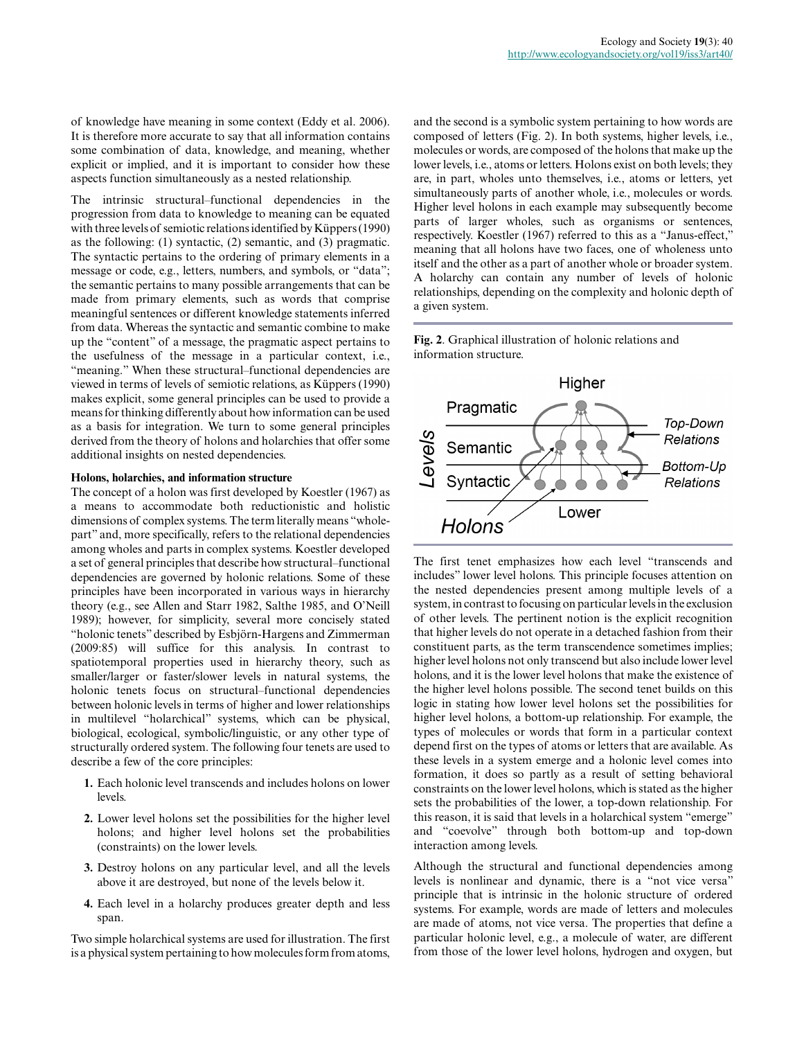of knowledge have meaning in some context (Eddy et al. 2006). It is therefore more accurate to say that all information contains some combination of data, knowledge, and meaning, whether explicit or implied, and it is important to consider how these aspects function simultaneously as a nested relationship.

The intrinsic structural–functional dependencies in the progression from data to knowledge to meaning can be equated with three levels of semiotic relations identified by Küppers (1990) as the following: (1) syntactic, (2) semantic, and (3) pragmatic. The syntactic pertains to the ordering of primary elements in a message or code, e.g., letters, numbers, and symbols, or "data"; the semantic pertains to many possible arrangements that can be made from primary elements, such as words that comprise meaningful sentences or different knowledge statements inferred from data. Whereas the syntactic and semantic combine to make up the "content" of a message, the pragmatic aspect pertains to the usefulness of the message in a particular context, i.e., "meaning." When these structural–functional dependencies are viewed in terms of levels of semiotic relations, as Küppers (1990) makes explicit, some general principles can be used to provide a means for thinking differently about how information can be used as a basis for integration. We turn to some general principles derived from the theory of holons and holarchies that offer some additional insights on nested dependencies.

## **Holons, holarchies, and information structure**

The concept of a holon was first developed by Koestler (1967) as a means to accommodate both reductionistic and holistic dimensions of complex systems. The term literally means "wholepart" and, more specifically, refers to the relational dependencies among wholes and parts in complex systems. Koestler developed a set of general principles that describe how structural–functional dependencies are governed by holonic relations. Some of these principles have been incorporated in various ways in hierarchy theory (e.g., see Allen and Starr 1982, Salthe 1985, and O'Neill 1989); however, for simplicity, several more concisely stated "holonic tenets" described by Esbjörn-Hargens and Zimmerman (2009:85) will suffice for this analysis. In contrast to spatiotemporal properties used in hierarchy theory, such as smaller/larger or faster/slower levels in natural systems, the holonic tenets focus on structural–functional dependencies between holonic levels in terms of higher and lower relationships in multilevel "holarchical" systems, which can be physical, biological, ecological, symbolic/linguistic, or any other type of structurally ordered system. The following four tenets are used to describe a few of the core principles:

- **1.** Each holonic level transcends and includes holons on lower levels.
- **2.** Lower level holons set the possibilities for the higher level holons; and higher level holons set the probabilities (constraints) on the lower levels.
- **3.** Destroy holons on any particular level, and all the levels above it are destroyed, but none of the levels below it.
- **4.** Each level in a holarchy produces greater depth and less span.

Two simple holarchical systems are used for illustration. The first is a physical system pertaining to how molecules form from atoms,

and the second is a symbolic system pertaining to how words are composed of letters (Fig. 2). In both systems, higher levels, i.e., molecules or words, are composed of the holons that make up the lower levels, i.e., atoms or letters. Holons exist on both levels; they are, in part, wholes unto themselves, i.e., atoms or letters, yet simultaneously parts of another whole, i.e., molecules or words. Higher level holons in each example may subsequently become parts of larger wholes, such as organisms or sentences, respectively. Koestler (1967) referred to this as a "Janus-effect," meaning that all holons have two faces, one of wholeness unto itself and the other as a part of another whole or broader system. A holarchy can contain any number of levels of holonic relationships, depending on the complexity and holonic depth of a given system.

**Fig. 2**. Graphical illustration of holonic relations and information structure.



The first tenet emphasizes how each level "transcends and includes" lower level holons. This principle focuses attention on the nested dependencies present among multiple levels of a system, in contrast to focusing on particular levels in the exclusion of other levels. The pertinent notion is the explicit recognition that higher levels do not operate in a detached fashion from their constituent parts, as the term transcendence sometimes implies; higher level holons not only transcend but also include lower level holons, and it is the lower level holons that make the existence of the higher level holons possible. The second tenet builds on this logic in stating how lower level holons set the possibilities for higher level holons, a bottom-up relationship. For example, the types of molecules or words that form in a particular context depend first on the types of atoms or letters that are available. As these levels in a system emerge and a holonic level comes into formation, it does so partly as a result of setting behavioral constraints on the lower level holons, which is stated as the higher sets the probabilities of the lower, a top-down relationship. For this reason, it is said that levels in a holarchical system "emerge" and "coevolve" through both bottom-up and top-down interaction among levels.

Although the structural and functional dependencies among levels is nonlinear and dynamic, there is a "not vice versa" principle that is intrinsic in the holonic structure of ordered systems. For example, words are made of letters and molecules are made of atoms, not vice versa. The properties that define a particular holonic level, e.g., a molecule of water, are different from those of the lower level holons, hydrogen and oxygen, but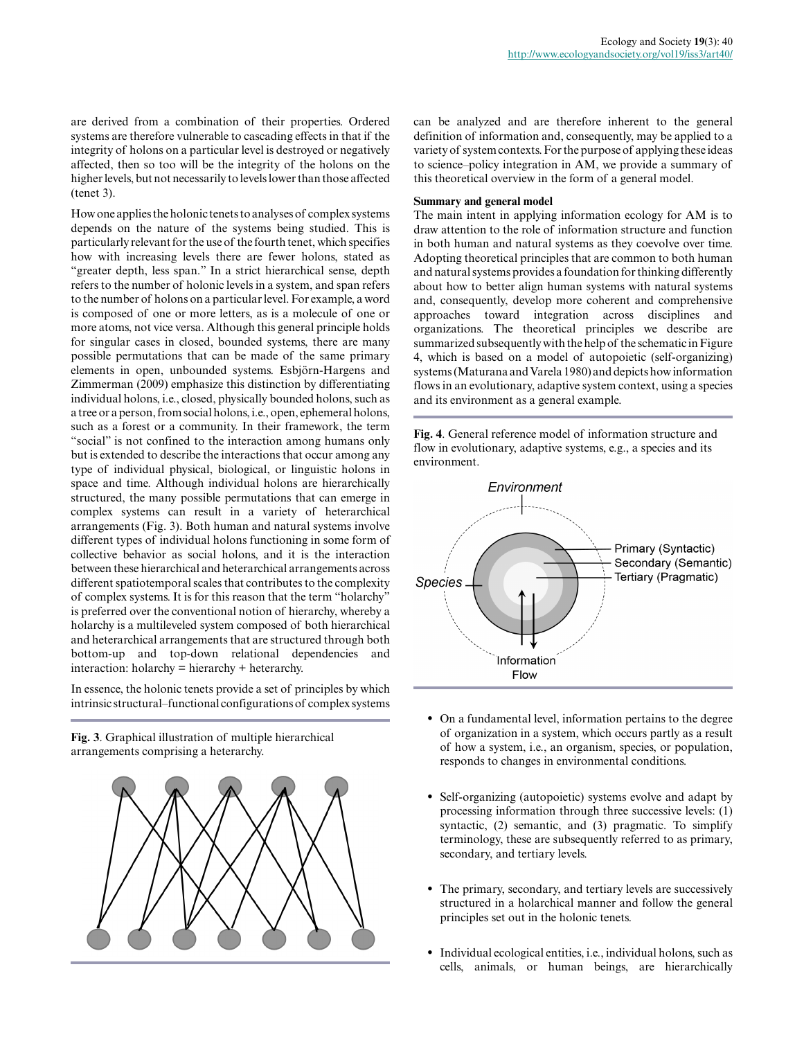are derived from a combination of their properties. Ordered systems are therefore vulnerable to cascading effects in that if the integrity of holons on a particular level is destroyed or negatively affected, then so too will be the integrity of the holons on the higher levels, but not necessarily to levels lower than those affected (tenet 3).

How one applies the holonic tenets to analyses of complex systems depends on the nature of the systems being studied. This is particularly relevant for the use of the fourth tenet, which specifies how with increasing levels there are fewer holons, stated as "greater depth, less span." In a strict hierarchical sense, depth refers to the number of holonic levels in a system, and span refers to the number of holons on a particular level. For example, a word is composed of one or more letters, as is a molecule of one or more atoms, not vice versa. Although this general principle holds for singular cases in closed, bounded systems, there are many possible permutations that can be made of the same primary elements in open, unbounded systems. Esbjörn-Hargens and Zimmerman (2009) emphasize this distinction by differentiating individual holons, i.e., closed, physically bounded holons, such as a tree or a person, from social holons, i.e., open, ephemeral holons, such as a forest or a community. In their framework, the term "social" is not confined to the interaction among humans only but is extended to describe the interactions that occur among any type of individual physical, biological, or linguistic holons in space and time. Although individual holons are hierarchically structured, the many possible permutations that can emerge in complex systems can result in a variety of heterarchical arrangements (Fig. 3). Both human and natural systems involve different types of individual holons functioning in some form of collective behavior as social holons, and it is the interaction between these hierarchical and heterarchical arrangements across different spatiotemporal scales that contributes to the complexity of complex systems. It is for this reason that the term "holarchy" is preferred over the conventional notion of hierarchy, whereby a holarchy is a multileveled system composed of both hierarchical and heterarchical arrangements that are structured through both bottom-up and top-down relational dependencies and interaction: holarchy = hierarchy + heterarchy.

In essence, the holonic tenets provide a set of principles by which intrinsic structural–functional configurations of complex systems

**Fig. 3**. Graphical illustration of multiple hierarchical arrangements comprising a heterarchy.



can be analyzed and are therefore inherent to the general definition of information and, consequently, may be applied to a variety of system contexts. For the purpose of applying these ideas to science–policy integration in AM, we provide a summary of this theoretical overview in the form of a general model.

## **Summary and general model**

The main intent in applying information ecology for AM is to draw attention to the role of information structure and function in both human and natural systems as they coevolve over time. Adopting theoretical principles that are common to both human and natural systems provides a foundation for thinking differently about how to better align human systems with natural systems and, consequently, develop more coherent and comprehensive approaches toward integration across disciplines and organizations. The theoretical principles we describe are summarized subsequently with the help of the schematic in Figure 4, which is based on a model of autopoietic (self-organizing) systems (Maturana and Varela 1980) and depicts how information flows in an evolutionary, adaptive system context, using a species and its environment as a general example.

**Fig. 4**. General reference model of information structure and flow in evolutionary, adaptive systems, e.g., a species and its environment.



- **.** On a fundamental level, information pertains to the degree of organization in a system, which occurs partly as a result of how a system, i.e., an organism, species, or population, responds to changes in environmental conditions.
- **.** Self-organizing (autopoietic) systems evolve and adapt by processing information through three successive levels: (1) syntactic, (2) semantic, and (3) pragmatic. To simplify terminology, these are subsequently referred to as primary, secondary, and tertiary levels.
- **.** The primary, secondary, and tertiary levels are successively structured in a holarchical manner and follow the general principles set out in the holonic tenets.
- **.** Individual ecological entities, i.e., individual holons, such as cells, animals, or human beings, are hierarchically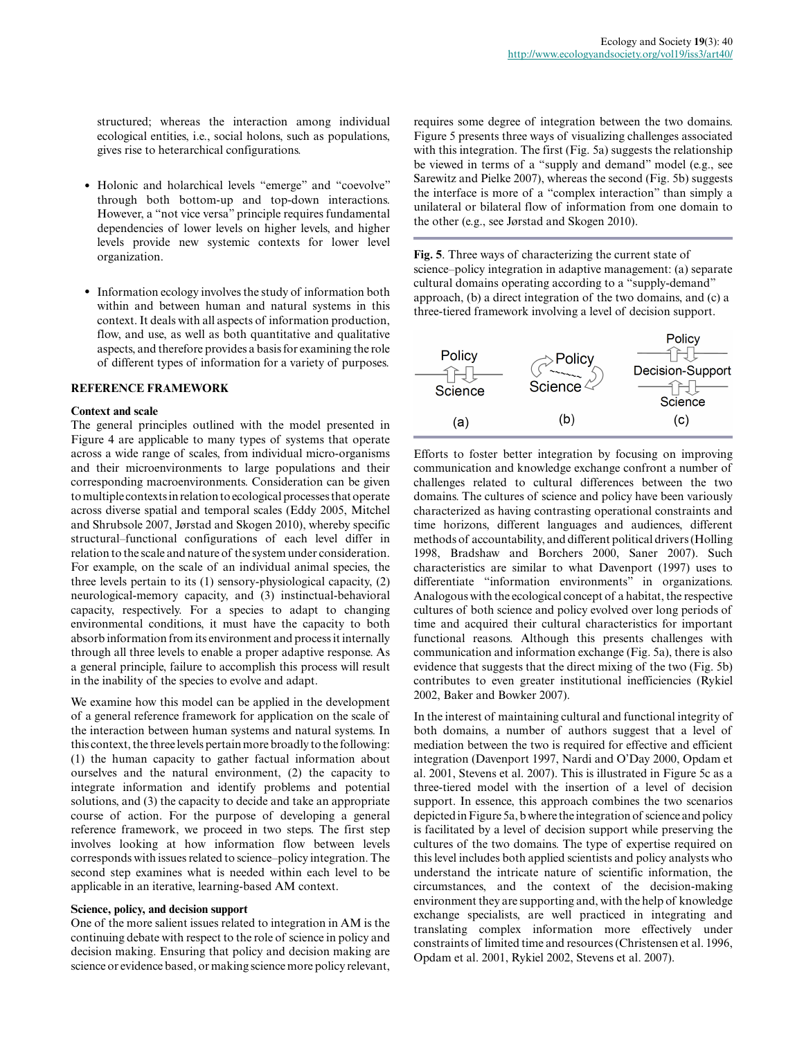structured; whereas the interaction among individual ecological entities, i.e., social holons, such as populations, gives rise to heterarchical configurations.

- **.** Holonic and holarchical levels "emerge" and "coevolve" through both bottom-up and top-down interactions. However, a "not vice versa" principle requires fundamental dependencies of lower levels on higher levels, and higher levels provide new systemic contexts for lower level organization.
- **.** Information ecology involves the study of information both within and between human and natural systems in this context. It deals with all aspects of information production, flow, and use, as well as both quantitative and qualitative aspects, and therefore provides a basis for examining the role of different types of information for a variety of purposes.

# **REFERENCE FRAMEWORK**

#### **Context and scale**

The general principles outlined with the model presented in Figure 4 are applicable to many types of systems that operate across a wide range of scales, from individual micro-organisms and their microenvironments to large populations and their corresponding macroenvironments. Consideration can be given to multiple contexts in relation to ecological processes that operate across diverse spatial and temporal scales (Eddy 2005, Mitchel and Shrubsole 2007, Jørstad and Skogen 2010), whereby specific structural–functional configurations of each level differ in relation to the scale and nature of the system under consideration. For example, on the scale of an individual animal species, the three levels pertain to its (1) sensory-physiological capacity, (2) neurological-memory capacity, and (3) instinctual-behavioral capacity, respectively. For a species to adapt to changing environmental conditions, it must have the capacity to both absorb information from its environment and process it internally through all three levels to enable a proper adaptive response. As a general principle, failure to accomplish this process will result in the inability of the species to evolve and adapt.

We examine how this model can be applied in the development of a general reference framework for application on the scale of the interaction between human systems and natural systems. In this context, the three levels pertain more broadly to the following: (1) the human capacity to gather factual information about ourselves and the natural environment, (2) the capacity to integrate information and identify problems and potential solutions, and (3) the capacity to decide and take an appropriate course of action. For the purpose of developing a general reference framework, we proceed in two steps. The first step involves looking at how information flow between levels corresponds with issues related to science–policy integration. The second step examines what is needed within each level to be applicable in an iterative, learning-based AM context.

#### **Science, policy, and decision support**

One of the more salient issues related to integration in AM is the continuing debate with respect to the role of science in policy and decision making. Ensuring that policy and decision making are science or evidence based, or making science more policy relevant, requires some degree of integration between the two domains. Figure 5 presents three ways of visualizing challenges associated with this integration. The first (Fig. 5a) suggests the relationship be viewed in terms of a "supply and demand" model (e.g., see Sarewitz and Pielke 2007), whereas the second (Fig. 5b) suggests the interface is more of a "complex interaction" than simply a unilateral or bilateral flow of information from one domain to the other (e.g., see Jørstad and Skogen 2010).

**Fig. 5**. Three ways of characterizing the current state of science–policy integration in adaptive management: (a) separate cultural domains operating according to a "supply-demand" approach, (b) a direct integration of the two domains, and (c) a three-tiered framework involving a level of decision support.



Efforts to foster better integration by focusing on improving communication and knowledge exchange confront a number of challenges related to cultural differences between the two domains. The cultures of science and policy have been variously characterized as having contrasting operational constraints and time horizons, different languages and audiences, different methods of accountability, and different political drivers (Holling 1998, Bradshaw and Borchers 2000, Saner 2007). Such characteristics are similar to what Davenport (1997) uses to differentiate "information environments" in organizations. Analogous with the ecological concept of a habitat, the respective cultures of both science and policy evolved over long periods of time and acquired their cultural characteristics for important functional reasons. Although this presents challenges with communication and information exchange (Fig. 5a), there is also evidence that suggests that the direct mixing of the two (Fig. 5b) contributes to even greater institutional inefficiencies (Rykiel 2002, Baker and Bowker 2007).

In the interest of maintaining cultural and functional integrity of both domains, a number of authors suggest that a level of mediation between the two is required for effective and efficient integration (Davenport 1997, Nardi and O'Day 2000, Opdam et al. 2001, Stevens et al. 2007). This is illustrated in Figure 5c as a three-tiered model with the insertion of a level of decision support. In essence, this approach combines the two scenarios depicted in Figure 5a, b where the integration of science and policy is facilitated by a level of decision support while preserving the cultures of the two domains. The type of expertise required on this level includes both applied scientists and policy analysts who understand the intricate nature of scientific information, the circumstances, and the context of the decision-making environment they are supporting and, with the help of knowledge exchange specialists, are well practiced in integrating and translating complex information more effectively under constraints of limited time and resources (Christensen et al. 1996, Opdam et al. 2001, Rykiel 2002, Stevens et al. 2007).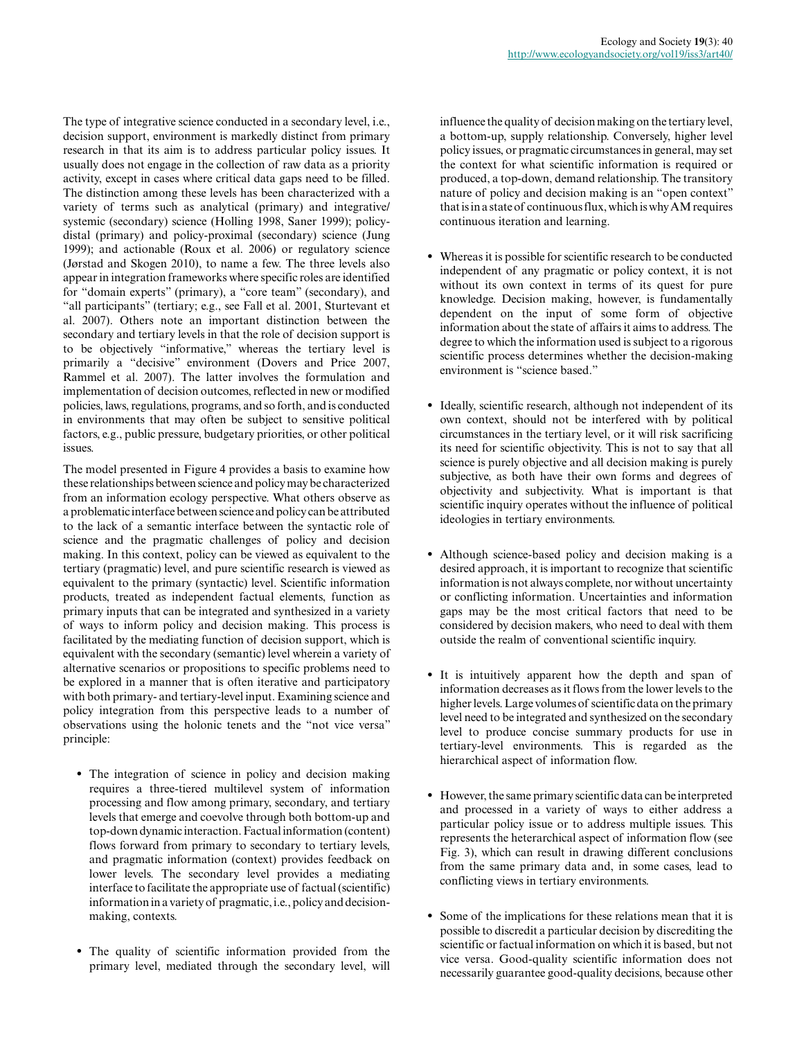The type of integrative science conducted in a secondary level, i.e., decision support, environment is markedly distinct from primary research in that its aim is to address particular policy issues. It usually does not engage in the collection of raw data as a priority activity, except in cases where critical data gaps need to be filled. The distinction among these levels has been characterized with a variety of terms such as analytical (primary) and integrative/ systemic (secondary) science (Holling 1998, Saner 1999); policydistal (primary) and policy-proximal (secondary) science (Jung 1999); and actionable (Roux et al. 2006) or regulatory science (Jørstad and Skogen 2010), to name a few. The three levels also appear in integration frameworks where specific roles are identified for "domain experts" (primary), a "core team" (secondary), and "all participants" (tertiary; e.g., see Fall et al. 2001, Sturtevant et al. 2007). Others note an important distinction between the secondary and tertiary levels in that the role of decision support is to be objectively "informative," whereas the tertiary level is primarily a "decisive" environment (Dovers and Price 2007, Rammel et al. 2007). The latter involves the formulation and implementation of decision outcomes, reflected in new or modified policies, laws, regulations, programs, and so forth, and is conducted in environments that may often be subject to sensitive political factors, e.g., public pressure, budgetary priorities, or other political issues.

The model presented in Figure 4 provides a basis to examine how these relationships between science and policy may be characterized from an information ecology perspective. What others observe as a problematic interface between science and policy can be attributed to the lack of a semantic interface between the syntactic role of science and the pragmatic challenges of policy and decision making. In this context, policy can be viewed as equivalent to the tertiary (pragmatic) level, and pure scientific research is viewed as equivalent to the primary (syntactic) level. Scientific information products, treated as independent factual elements, function as primary inputs that can be integrated and synthesized in a variety of ways to inform policy and decision making. This process is facilitated by the mediating function of decision support, which is equivalent with the secondary (semantic) level wherein a variety of alternative scenarios or propositions to specific problems need to be explored in a manner that is often iterative and participatory with both primary- and tertiary-level input. Examining science and policy integration from this perspective leads to a number of observations using the holonic tenets and the "not vice versa" principle:

- **.** The integration of science in policy and decision making requires a three-tiered multilevel system of information processing and flow among primary, secondary, and tertiary levels that emerge and coevolve through both bottom-up and top-down dynamic interaction. Factual information (content) flows forward from primary to secondary to tertiary levels, and pragmatic information (context) provides feedback on lower levels. The secondary level provides a mediating interface to facilitate the appropriate use of factual (scientific) information in a variety of pragmatic, i.e., policy and decisionmaking, contexts.
- **.** The quality of scientific information provided from the primary level, mediated through the secondary level, will

influence the quality of decision making on the tertiary level, a bottom-up, supply relationship. Conversely, higher level policy issues, or pragmatic circumstances in general, may set the context for what scientific information is required or produced, a top-down, demand relationship. The transitory nature of policy and decision making is an "open context" that is in a state of continuous flux, which is why AM requires continuous iteration and learning.

- **.** Whereas it is possible for scientific research to be conducted independent of any pragmatic or policy context, it is not without its own context in terms of its quest for pure knowledge. Decision making, however, is fundamentally dependent on the input of some form of objective information about the state of affairs it aims to address. The degree to which the information used is subject to a rigorous scientific process determines whether the decision-making environment is "science based."
- **.** Ideally, scientific research, although not independent of its own context, should not be interfered with by political circumstances in the tertiary level, or it will risk sacrificing its need for scientific objectivity. This is not to say that all science is purely objective and all decision making is purely subjective, as both have their own forms and degrees of objectivity and subjectivity. What is important is that scientific inquiry operates without the influence of political ideologies in tertiary environments.
- **.** Although science-based policy and decision making is a desired approach, it is important to recognize that scientific information is not always complete, nor without uncertainty or conflicting information. Uncertainties and information gaps may be the most critical factors that need to be considered by decision makers, who need to deal with them outside the realm of conventional scientific inquiry.
- **.** It is intuitively apparent how the depth and span of information decreases as it flows from the lower levels to the higher levels. Large volumes of scientific data on the primary level need to be integrated and synthesized on the secondary level to produce concise summary products for use in tertiary-level environments. This is regarded as the hierarchical aspect of information flow.
- **.** However, the same primary scientific data can be interpreted and processed in a variety of ways to either address a particular policy issue or to address multiple issues. This represents the heterarchical aspect of information flow (see Fig. 3), which can result in drawing different conclusions from the same primary data and, in some cases, lead to conflicting views in tertiary environments.
- **.** Some of the implications for these relations mean that it is possible to discredit a particular decision by discrediting the scientific or factual information on which it is based, but not vice versa. Good-quality scientific information does not necessarily guarantee good-quality decisions, because other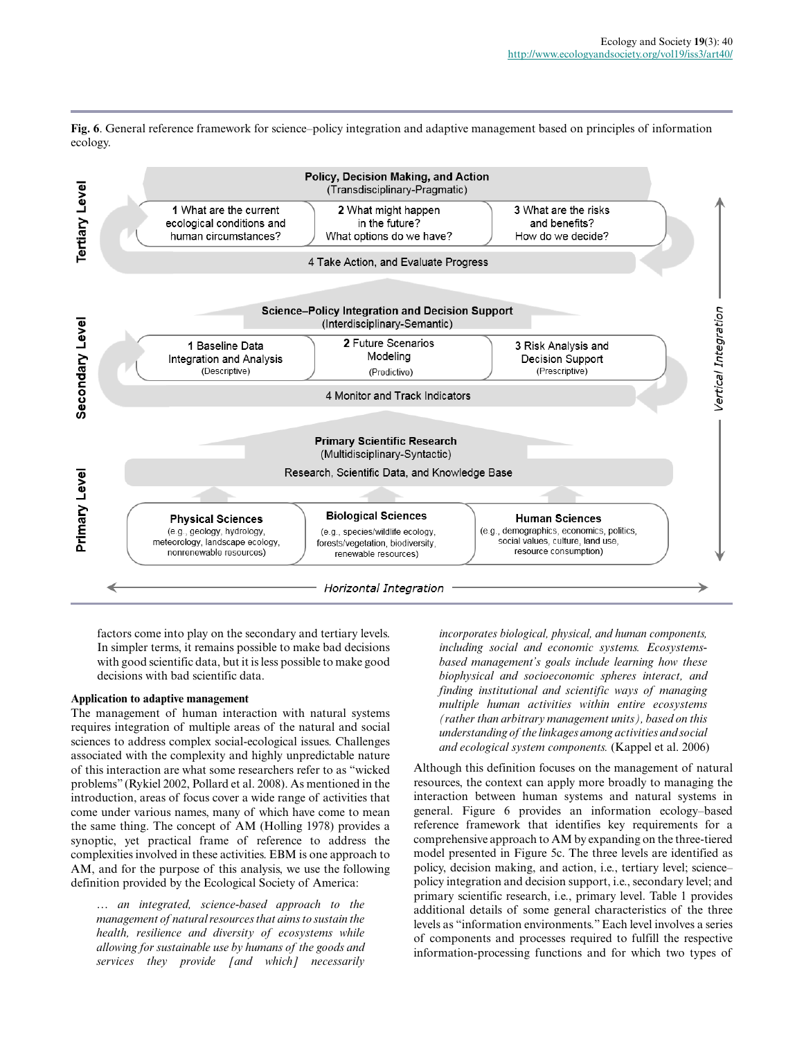**Fig. 6**. General reference framework for science–policy integration and adaptive management based on principles of information ecology.



factors come into play on the secondary and tertiary levels. In simpler terms, it remains possible to make bad decisions with good scientific data, but it is less possible to make good decisions with bad scientific data.

# **Application to adaptive management**

The management of human interaction with natural systems requires integration of multiple areas of the natural and social sciences to address complex social-ecological issues. Challenges associated with the complexity and highly unpredictable nature of this interaction are what some researchers refer to as "wicked problems" (Rykiel 2002, Pollard et al. 2008). As mentioned in the introduction, areas of focus cover a wide range of activities that come under various names, many of which have come to mean the same thing. The concept of AM (Holling 1978) provides a synoptic, yet practical frame of reference to address the complexities involved in these activities. EBM is one approach to AM, and for the purpose of this analysis, we use the following definition provided by the Ecological Society of America:

*… an integrated, science-based approach to the management of natural resources that aims to sustain the health, resilience and diversity of ecosystems while allowing for sustainable use by humans of the goods and services they provide [and which] necessarily*

*incorporates biological, physical, and human components, including social and economic systems. Ecosystemsbased management's goals include learning how these biophysical and socioeconomic spheres interact, and finding institutional and scientific ways of managing multiple human activities within entire ecosystems (rather than arbitrary management units), based on this understanding of the linkages among activities and social and ecological system components.* (Kappel et al. 2006)

Although this definition focuses on the management of natural resources, the context can apply more broadly to managing the interaction between human systems and natural systems in general. Figure 6 provides an information ecology–based reference framework that identifies key requirements for a comprehensive approach to AM by expanding on the three-tiered model presented in Figure 5c. The three levels are identified as policy, decision making, and action, i.e., tertiary level; science– policy integration and decision support, i.e., secondary level; and primary scientific research, i.e., primary level. Table 1 provides additional details of some general characteristics of the three levels as "information environments." Each level involves a series of components and processes required to fulfill the respective information-processing functions and for which two types of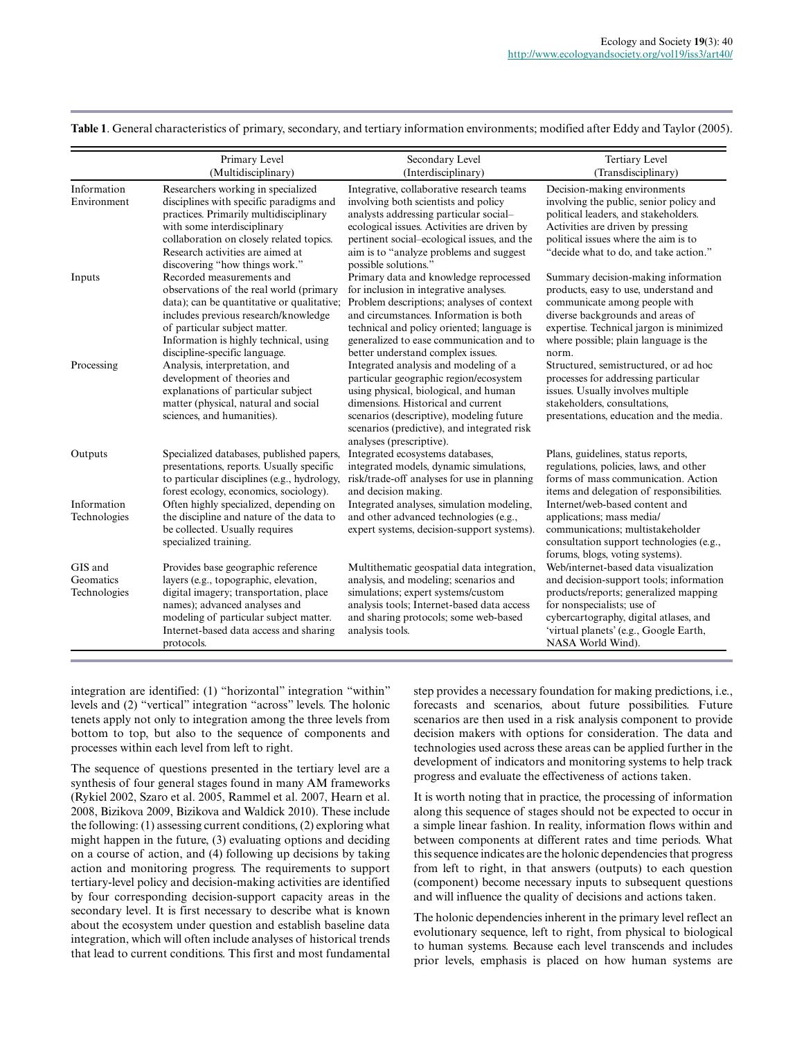**Table 1**. General characteristics of primary, secondary, and tertiary information environments; modified after Eddy and Taylor (2005).

|                                      | Primary Level<br>(Multidisciplinary)                                                                                                                                                                                                                                     | Secondary Level<br>(Interdisciplinary)                                                                                                                                                                                                                                                                 | Tertiary Level<br>(Transdisciplinary)                                                                                                                                                                                                                            |
|--------------------------------------|--------------------------------------------------------------------------------------------------------------------------------------------------------------------------------------------------------------------------------------------------------------------------|--------------------------------------------------------------------------------------------------------------------------------------------------------------------------------------------------------------------------------------------------------------------------------------------------------|------------------------------------------------------------------------------------------------------------------------------------------------------------------------------------------------------------------------------------------------------------------|
| Information<br>Environment           | Researchers working in specialized<br>disciplines with specific paradigms and<br>practices. Primarily multidisciplinary<br>with some interdisciplinary<br>collaboration on closely related topics.<br>Research activities are aimed at<br>discovering "how things work." | Integrative, collaborative research teams<br>involving both scientists and policy<br>analysts addressing particular social-<br>ecological issues. Activities are driven by<br>pertinent social-ecological issues, and the<br>aim is to "analyze problems and suggest<br>possible solutions."           | Decision-making environments<br>involving the public, senior policy and<br>political leaders, and stakeholders.<br>Activities are driven by pressing<br>political issues where the aim is to<br>"decide what to do, and take action."                            |
| Inputs                               | Recorded measurements and<br>observations of the real world (primary<br>data); can be quantitative or qualitative;<br>includes previous research/knowledge<br>of particular subject matter.<br>Information is highly technical, using<br>discipline-specific language.   | Primary data and knowledge reprocessed<br>for inclusion in integrative analyses.<br>Problem descriptions; analyses of context<br>and circumstances. Information is both<br>technical and policy oriented; language is<br>generalized to ease communication and to<br>better understand complex issues. | Summary decision-making information<br>products, easy to use, understand and<br>communicate among people with<br>diverse backgrounds and areas of<br>expertise. Technical jargon is minimized<br>where possible; plain language is the<br>norm.                  |
| Processing                           | Analysis, interpretation, and<br>development of theories and<br>explanations of particular subject<br>matter (physical, natural and social<br>sciences, and humanities).                                                                                                 | Integrated analysis and modeling of a<br>particular geographic region/ecosystem<br>using physical, biological, and human<br>dimensions. Historical and current<br>scenarios (descriptive), modeling future<br>scenarios (predictive), and integrated risk<br>analyses (prescriptive).                  | Structured, semistructured, or ad hoc<br>processes for addressing particular<br>issues. Usually involves multiple<br>stakeholders, consultations,<br>presentations, education and the media.                                                                     |
| Outputs                              | Specialized databases, published papers,<br>presentations, reports. Usually specific<br>to particular disciplines (e.g., hydrology,<br>forest ecology, economics, sociology).                                                                                            | Integrated ecosystems databases,<br>integrated models, dynamic simulations,<br>risk/trade-off analyses for use in planning<br>and decision making.                                                                                                                                                     | Plans, guidelines, status reports,<br>regulations, policies, laws, and other<br>forms of mass communication. Action<br>items and delegation of responsibilities.                                                                                                 |
| Information<br>Technologies          | Often highly specialized, depending on<br>the discipline and nature of the data to<br>be collected. Usually requires<br>specialized training.                                                                                                                            | Integrated analyses, simulation modeling,<br>and other advanced technologies (e.g.,<br>expert systems, decision-support systems).                                                                                                                                                                      | Internet/web-based content and<br>applications; mass media/<br>communications; multistakeholder<br>consultation support technologies (e.g.,<br>forums, blogs, voting systems).                                                                                   |
| GIS and<br>Geomatics<br>Technologies | Provides base geographic reference<br>layers (e.g., topographic, elevation,<br>digital imagery; transportation, place<br>names); advanced analyses and<br>modeling of particular subject matter.<br>Internet-based data access and sharing<br>protocols.                 | Multithematic geospatial data integration,<br>analysis, and modeling; scenarios and<br>simulations; expert systems/custom<br>analysis tools; Internet-based data access<br>and sharing protocols; some web-based<br>analysis tools.                                                                    | Web/internet-based data visualization<br>and decision-support tools; information<br>products/reports; generalized mapping<br>for nonspecialists; use of<br>cybercartography, digital atlases, and<br>'virtual planets' (e.g., Google Earth,<br>NASA World Wind). |

integration are identified: (1) "horizontal" integration "within" levels and (2) "vertical" integration "across" levels. The holonic tenets apply not only to integration among the three levels from bottom to top, but also to the sequence of components and processes within each level from left to right.

The sequence of questions presented in the tertiary level are a synthesis of four general stages found in many AM frameworks (Rykiel 2002, Szaro et al. 2005, Rammel et al. 2007, Hearn et al. 2008, Bizikova 2009, Bizikova and Waldick 2010). These include the following: (1) assessing current conditions, (2) exploring what might happen in the future, (3) evaluating options and deciding on a course of action, and (4) following up decisions by taking action and monitoring progress. The requirements to support tertiary-level policy and decision-making activities are identified by four corresponding decision-support capacity areas in the secondary level. It is first necessary to describe what is known about the ecosystem under question and establish baseline data integration, which will often include analyses of historical trends that lead to current conditions. This first and most fundamental

step provides a necessary foundation for making predictions, i.e., forecasts and scenarios, about future possibilities. Future scenarios are then used in a risk analysis component to provide decision makers with options for consideration. The data and technologies used across these areas can be applied further in the development of indicators and monitoring systems to help track progress and evaluate the effectiveness of actions taken.

It is worth noting that in practice, the processing of information along this sequence of stages should not be expected to occur in a simple linear fashion. In reality, information flows within and between components at different rates and time periods. What this sequence indicates are the holonic dependencies that progress from left to right, in that answers (outputs) to each question (component) become necessary inputs to subsequent questions and will influence the quality of decisions and actions taken.

The holonic dependencies inherent in the primary level reflect an evolutionary sequence, left to right, from physical to biological to human systems. Because each level transcends and includes prior levels, emphasis is placed on how human systems are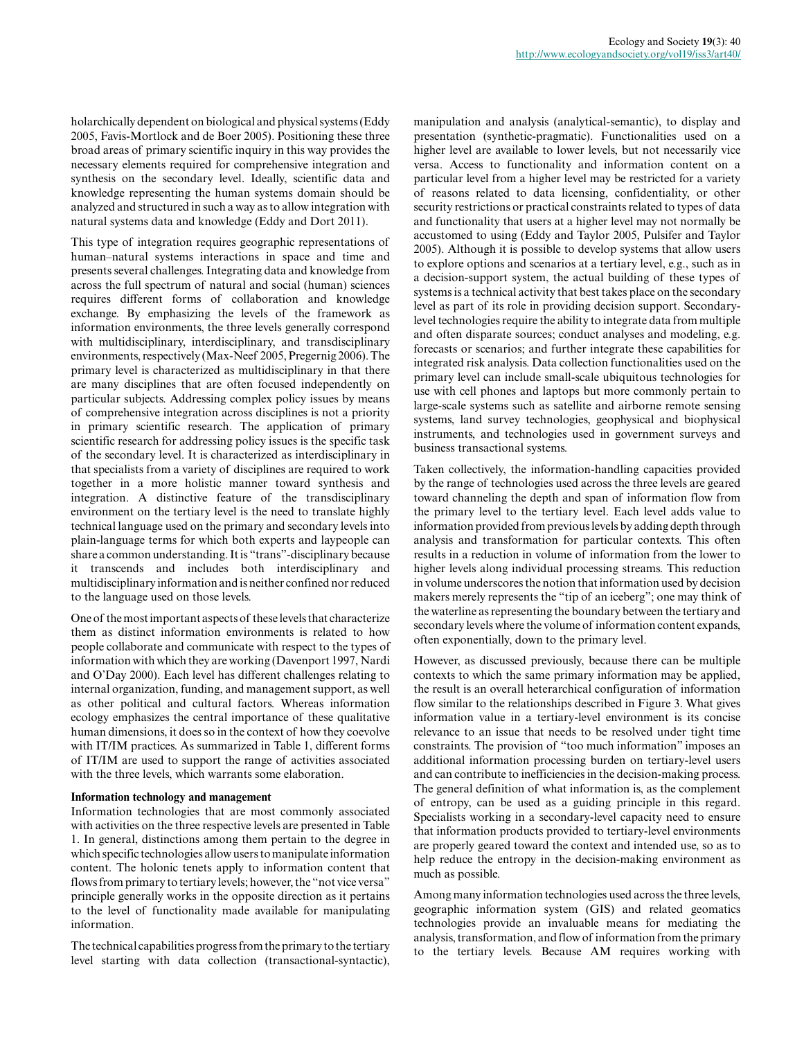holarchically dependent on biological and physical systems (Eddy 2005, Favis-Mortlock and de Boer 2005). Positioning these three broad areas of primary scientific inquiry in this way provides the necessary elements required for comprehensive integration and synthesis on the secondary level. Ideally, scientific data and knowledge representing the human systems domain should be analyzed and structured in such a way as to allow integration with natural systems data and knowledge (Eddy and Dort 2011).

This type of integration requires geographic representations of human–natural systems interactions in space and time and presents several challenges. Integrating data and knowledge from across the full spectrum of natural and social (human) sciences requires different forms of collaboration and knowledge exchange. By emphasizing the levels of the framework as information environments, the three levels generally correspond with multidisciplinary, interdisciplinary, and transdisciplinary environments, respectively (Max-Neef 2005, Pregernig 2006). The primary level is characterized as multidisciplinary in that there are many disciplines that are often focused independently on particular subjects. Addressing complex policy issues by means of comprehensive integration across disciplines is not a priority in primary scientific research. The application of primary scientific research for addressing policy issues is the specific task of the secondary level. It is characterized as interdisciplinary in that specialists from a variety of disciplines are required to work together in a more holistic manner toward synthesis and integration. A distinctive feature of the transdisciplinary environment on the tertiary level is the need to translate highly technical language used on the primary and secondary levels into plain-language terms for which both experts and laypeople can share a common understanding. It is "trans"-disciplinary because it transcends and includes both interdisciplinary and multidisciplinary information and is neither confined nor reduced to the language used on those levels.

One of the most important aspects of these levels that characterize them as distinct information environments is related to how people collaborate and communicate with respect to the types of information with which they are working (Davenport 1997, Nardi and O'Day 2000). Each level has different challenges relating to internal organization, funding, and management support, as well as other political and cultural factors. Whereas information ecology emphasizes the central importance of these qualitative human dimensions, it does so in the context of how they coevolve with IT/IM practices. As summarized in Table 1, different forms of IT/IM are used to support the range of activities associated with the three levels, which warrants some elaboration.

# **Information technology and management**

Information technologies that are most commonly associated with activities on the three respective levels are presented in Table 1. In general, distinctions among them pertain to the degree in which specific technologies allow users to manipulate information content. The holonic tenets apply to information content that flows from primary to tertiary levels; however, the "not vice versa" principle generally works in the opposite direction as it pertains to the level of functionality made available for manipulating information.

The technical capabilities progress from the primary to the tertiary level starting with data collection (transactional-syntactic),

manipulation and analysis (analytical-semantic), to display and presentation (synthetic-pragmatic). Functionalities used on a higher level are available to lower levels, but not necessarily vice versa. Access to functionality and information content on a particular level from a higher level may be restricted for a variety of reasons related to data licensing, confidentiality, or other security restrictions or practical constraints related to types of data and functionality that users at a higher level may not normally be accustomed to using (Eddy and Taylor 2005, Pulsifer and Taylor 2005). Although it is possible to develop systems that allow users to explore options and scenarios at a tertiary level, e.g., such as in a decision-support system, the actual building of these types of systems is a technical activity that best takes place on the secondary level as part of its role in providing decision support. Secondarylevel technologies require the ability to integrate data from multiple and often disparate sources; conduct analyses and modeling, e.g. forecasts or scenarios; and further integrate these capabilities for integrated risk analysis. Data collection functionalities used on the primary level can include small-scale ubiquitous technologies for use with cell phones and laptops but more commonly pertain to large-scale systems such as satellite and airborne remote sensing systems, land survey technologies, geophysical and biophysical instruments, and technologies used in government surveys and business transactional systems.

Taken collectively, the information-handling capacities provided by the range of technologies used across the three levels are geared toward channeling the depth and span of information flow from the primary level to the tertiary level. Each level adds value to information provided from previous levels by adding depth through analysis and transformation for particular contexts. This often results in a reduction in volume of information from the lower to higher levels along individual processing streams. This reduction in volume underscores the notion that information used by decision makers merely represents the "tip of an iceberg"; one may think of the waterline as representing the boundary between the tertiary and secondary levels where the volume of information content expands, often exponentially, down to the primary level.

However, as discussed previously, because there can be multiple contexts to which the same primary information may be applied, the result is an overall heterarchical configuration of information flow similar to the relationships described in Figure 3. What gives information value in a tertiary-level environment is its concise relevance to an issue that needs to be resolved under tight time constraints. The provision of "too much information" imposes an additional information processing burden on tertiary-level users and can contribute to inefficiencies in the decision-making process. The general definition of what information is, as the complement of entropy, can be used as a guiding principle in this regard. Specialists working in a secondary-level capacity need to ensure that information products provided to tertiary-level environments are properly geared toward the context and intended use, so as to help reduce the entropy in the decision-making environment as much as possible.

Among many information technologies used across the three levels, geographic information system (GIS) and related geomatics technologies provide an invaluable means for mediating the analysis, transformation, and flow of information from the primary to the tertiary levels. Because AM requires working with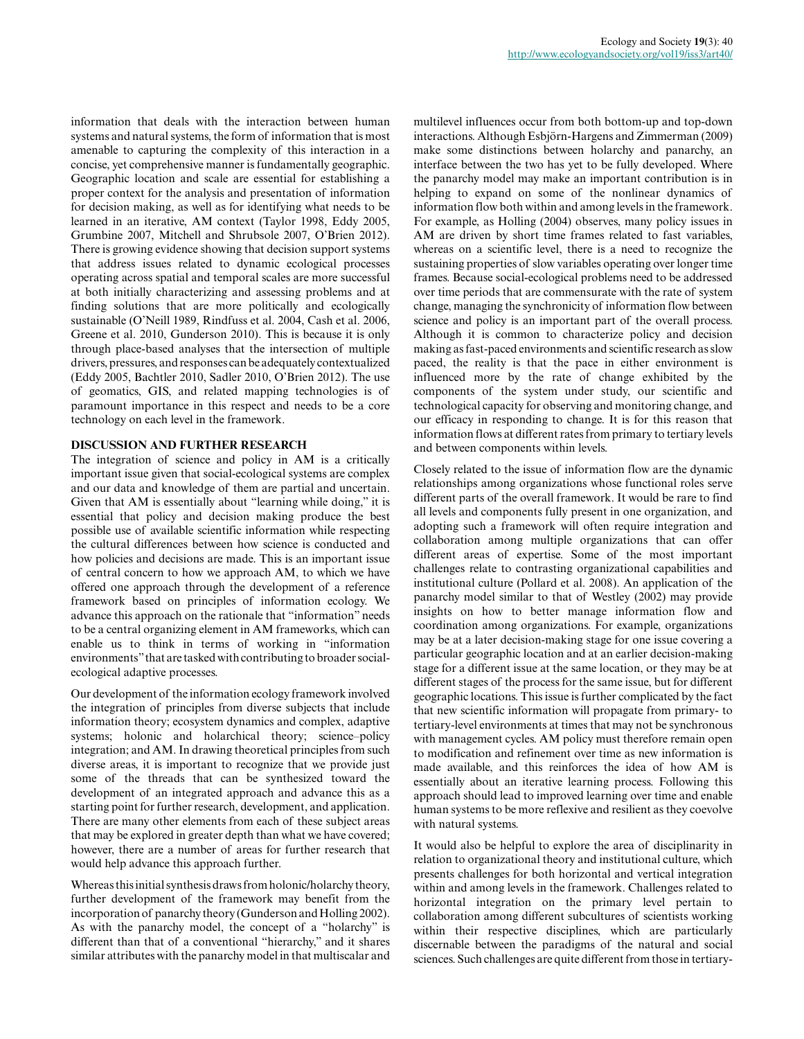information that deals with the interaction between human systems and natural systems, the form of information that is most amenable to capturing the complexity of this interaction in a concise, yet comprehensive manner is fundamentally geographic. Geographic location and scale are essential for establishing a proper context for the analysis and presentation of information for decision making, as well as for identifying what needs to be learned in an iterative, AM context (Taylor 1998, Eddy 2005, Grumbine 2007, Mitchell and Shrubsole 2007, O'Brien 2012). There is growing evidence showing that decision support systems that address issues related to dynamic ecological processes operating across spatial and temporal scales are more successful at both initially characterizing and assessing problems and at finding solutions that are more politically and ecologically sustainable (O'Neill 1989, Rindfuss et al. 2004, Cash et al. 2006, Greene et al. 2010, Gunderson 2010). This is because it is only through place-based analyses that the intersection of multiple drivers, pressures, and responses can be adequately contextualized (Eddy 2005, Bachtler 2010, Sadler 2010, O'Brien 2012). The use of geomatics, GIS, and related mapping technologies is of paramount importance in this respect and needs to be a core technology on each level in the framework.

# **DISCUSSION AND FURTHER RESEARCH**

The integration of science and policy in AM is a critically important issue given that social-ecological systems are complex and our data and knowledge of them are partial and uncertain. Given that AM is essentially about "learning while doing," it is essential that policy and decision making produce the best possible use of available scientific information while respecting the cultural differences between how science is conducted and how policies and decisions are made. This is an important issue of central concern to how we approach AM, to which we have offered one approach through the development of a reference framework based on principles of information ecology. We advance this approach on the rationale that "information" needs to be a central organizing element in AM frameworks, which can enable us to think in terms of working in "information environments" that are tasked with contributing to broader socialecological adaptive processes.

Our development of the information ecology framework involved the integration of principles from diverse subjects that include information theory; ecosystem dynamics and complex, adaptive systems; holonic and holarchical theory; science–policy integration; and AM. In drawing theoretical principles from such diverse areas, it is important to recognize that we provide just some of the threads that can be synthesized toward the development of an integrated approach and advance this as a starting point for further research, development, and application. There are many other elements from each of these subject areas that may be explored in greater depth than what we have covered; however, there are a number of areas for further research that would help advance this approach further.

Whereas this initial synthesis draws from holonic/holarchy theory, further development of the framework may benefit from the incorporation of panarchy theory (Gunderson and Holling 2002). As with the panarchy model, the concept of a "holarchy" is different than that of a conventional "hierarchy," and it shares similar attributes with the panarchy model in that multiscalar and

multilevel influences occur from both bottom-up and top-down interactions. Although Esbjörn-Hargens and Zimmerman (2009) make some distinctions between holarchy and panarchy, an interface between the two has yet to be fully developed. Where the panarchy model may make an important contribution is in helping to expand on some of the nonlinear dynamics of information flow both within and among levels in the framework. For example, as Holling (2004) observes, many policy issues in AM are driven by short time frames related to fast variables, whereas on a scientific level, there is a need to recognize the sustaining properties of slow variables operating over longer time frames. Because social-ecological problems need to be addressed over time periods that are commensurate with the rate of system change, managing the synchronicity of information flow between science and policy is an important part of the overall process. Although it is common to characterize policy and decision making as fast-paced environments and scientific research as slow paced, the reality is that the pace in either environment is influenced more by the rate of change exhibited by the components of the system under study, our scientific and technological capacity for observing and monitoring change, and our efficacy in responding to change. It is for this reason that information flows at different rates from primary to tertiary levels and between components within levels.

Closely related to the issue of information flow are the dynamic relationships among organizations whose functional roles serve different parts of the overall framework. It would be rare to find all levels and components fully present in one organization, and adopting such a framework will often require integration and collaboration among multiple organizations that can offer different areas of expertise. Some of the most important challenges relate to contrasting organizational capabilities and institutional culture (Pollard et al. 2008). An application of the panarchy model similar to that of Westley (2002) may provide insights on how to better manage information flow and coordination among organizations. For example, organizations may be at a later decision-making stage for one issue covering a particular geographic location and at an earlier decision-making stage for a different issue at the same location, or they may be at different stages of the process for the same issue, but for different geographic locations. This issue is further complicated by the fact that new scientific information will propagate from primary- to tertiary-level environments at times that may not be synchronous with management cycles. AM policy must therefore remain open to modification and refinement over time as new information is made available, and this reinforces the idea of how AM is essentially about an iterative learning process. Following this approach should lead to improved learning over time and enable human systems to be more reflexive and resilient as they coevolve with natural systems.

It would also be helpful to explore the area of disciplinarity in relation to organizational theory and institutional culture, which presents challenges for both horizontal and vertical integration within and among levels in the framework. Challenges related to horizontal integration on the primary level pertain to collaboration among different subcultures of scientists working within their respective disciplines, which are particularly discernable between the paradigms of the natural and social sciences. Such challenges are quite different from those in tertiary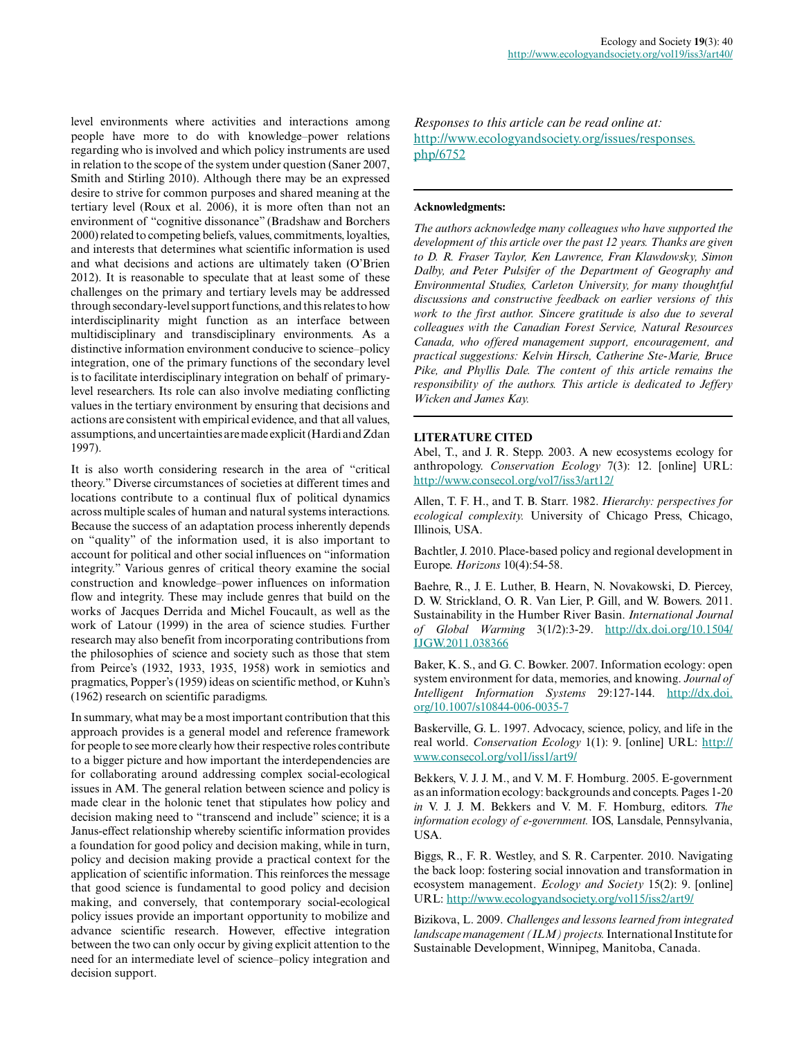level environments where activities and interactions among people have more to do with knowledge–power relations regarding who is involved and which policy instruments are used in relation to the scope of the system under question (Saner 2007, Smith and Stirling 2010). Although there may be an expressed desire to strive for common purposes and shared meaning at the tertiary level (Roux et al. 2006), it is more often than not an environment of "cognitive dissonance" (Bradshaw and Borchers 2000) related to competing beliefs, values, commitments, loyalties, and interests that determines what scientific information is used and what decisions and actions are ultimately taken (O'Brien 2012). It is reasonable to speculate that at least some of these challenges on the primary and tertiary levels may be addressed through secondary-level support functions, and this relates to how interdisciplinarity might function as an interface between multidisciplinary and transdisciplinary environments. As a distinctive information environment conducive to science–policy integration, one of the primary functions of the secondary level is to facilitate interdisciplinary integration on behalf of primarylevel researchers. Its role can also involve mediating conflicting values in the tertiary environment by ensuring that decisions and actions are consistent with empirical evidence, and that all values, assumptions, and uncertainties are made explicit (Hardi and Zdan 1997).

It is also worth considering research in the area of "critical theory." Diverse circumstances of societies at different times and locations contribute to a continual flux of political dynamics across multiple scales of human and natural systems interactions. Because the success of an adaptation process inherently depends on "quality" of the information used, it is also important to account for political and other social influences on "information integrity." Various genres of critical theory examine the social construction and knowledge–power influences on information flow and integrity. These may include genres that build on the works of Jacques Derrida and Michel Foucault, as well as the work of Latour (1999) in the area of science studies. Further research may also benefit from incorporating contributions from the philosophies of science and society such as those that stem from Peirce's (1932, 1933, 1935, 1958) work in semiotics and pragmatics, Popper's (1959) ideas on scientific method, or Kuhn's (1962) research on scientific paradigms.

In summary, what may be a most important contribution that this approach provides is a general model and reference framework for people to see more clearly how their respective roles contribute to a bigger picture and how important the interdependencies are for collaborating around addressing complex social-ecological issues in AM. The general relation between science and policy is made clear in the holonic tenet that stipulates how policy and decision making need to "transcend and include" science; it is a Janus-effect relationship whereby scientific information provides a foundation for good policy and decision making, while in turn, policy and decision making provide a practical context for the application of scientific information. This reinforces the message that good science is fundamental to good policy and decision making, and conversely, that contemporary social-ecological policy issues provide an important opportunity to mobilize and advance scientific research. However, effective integration between the two can only occur by giving explicit attention to the need for an intermediate level of science–policy integration and decision support.

*Responses to this article can be read online at:* [http://www.ecologyandsociety.org/issues/responses.](http://www.ecologyandsociety.org/issues/responses.php/6752) [php/6752](http://www.ecologyandsociety.org/issues/responses.php/6752)

# **Acknowledgments:**

*The authors acknowledge many colleagues who have supported the development of this article over the past 12 years. Thanks are given to D. R. Fraser Taylor, Ken Lawrence, Fran Klawdowsky, Simon Dalby, and Peter Pulsifer of the Department of Geography and Environmental Studies, Carleton University, for many thoughtful discussions and constructive feedback on earlier versions of this work to the first author. Sincere gratitude is also due to several colleagues with the Canadian Forest Service, Natural Resources Canada, who offered management support, encouragement, and practical suggestions: Kelvin Hirsch, Catherine Ste-Marie, Bruce Pike, and Phyllis Dale. The content of this article remains the responsibility of the authors. This article is dedicated to Jeffery Wicken and James Kay.*

# **LITERATURE CITED**

Abel, T., and J. R. Stepp. 2003. A new ecosystems ecology for anthropology. *Conservation Ecology* 7(3): 12. [online] URL: <http://www.consecol.org/vol7/iss3/art12/>

Allen, T. F. H., and T. B. Starr. 1982. *Hierarchy: perspectives for ecological complexity.* University of Chicago Press, Chicago, Illinois, USA.

Bachtler, J. 2010. Place-based policy and regional development in Europe. *Horizons* 10(4):54-58.

Baehre, R., J. E. Luther, B. Hearn, N. Novakowski, D. Piercey, D. W. Strickland, O. R. Van Lier, P. Gill, and W. Bowers. 2011. Sustainability in the Humber River Basin. *International Journal of Global Warming* 3(1/2):3-29. [http://dx.doi.org/10.1504/](http://dx.doi.org/10.1504%2FIJGW.2011.038366) [IJGW.2011.038366](http://dx.doi.org/10.1504%2FIJGW.2011.038366)

Baker, K. S., and G. C. Bowker. 2007. Information ecology: open system environment for data, memories, and knowing. *Journal of Intelligent Information Systems* 29:127-144. [http://dx.doi.](http://dx.doi.org/10.1007%2Fs10844-006-0035-7) [org/10.1007/s10844-006-0035-7](http://dx.doi.org/10.1007%2Fs10844-006-0035-7)

Baskerville, G. L. 1997. Advocacy, science, policy, and life in the real world. *Conservation Ecology* 1(1): 9. [online] URL: [http://](http://www.consecol.org/vol1/iss1/art9/) [www.consecol.org/vol1/iss1/art9/](http://www.consecol.org/vol1/iss1/art9/)

Bekkers, V. J. J. M., and V. M. F. Homburg. 2005. E-government as an information ecology: backgrounds and concepts. Pages 1-20 *in* V. J. J. M. Bekkers and V. M. F. Homburg, editors. *The information ecology of e-government.* IOS, Lansdale, Pennsylvania, USA.

Biggs, R., F. R. Westley, and S. R. Carpenter. 2010. Navigating the back loop: fostering social innovation and transformation in ecosystem management. *Ecology and Society* 15(2): 9. [online] URL:<http://www.ecologyandsociety.org/vol15/iss2/art9/>

Bizikova, L. 2009. *Challenges and lessons learned from integrated landscape management (ILM) projects.* International Institute for Sustainable Development, Winnipeg, Manitoba, Canada.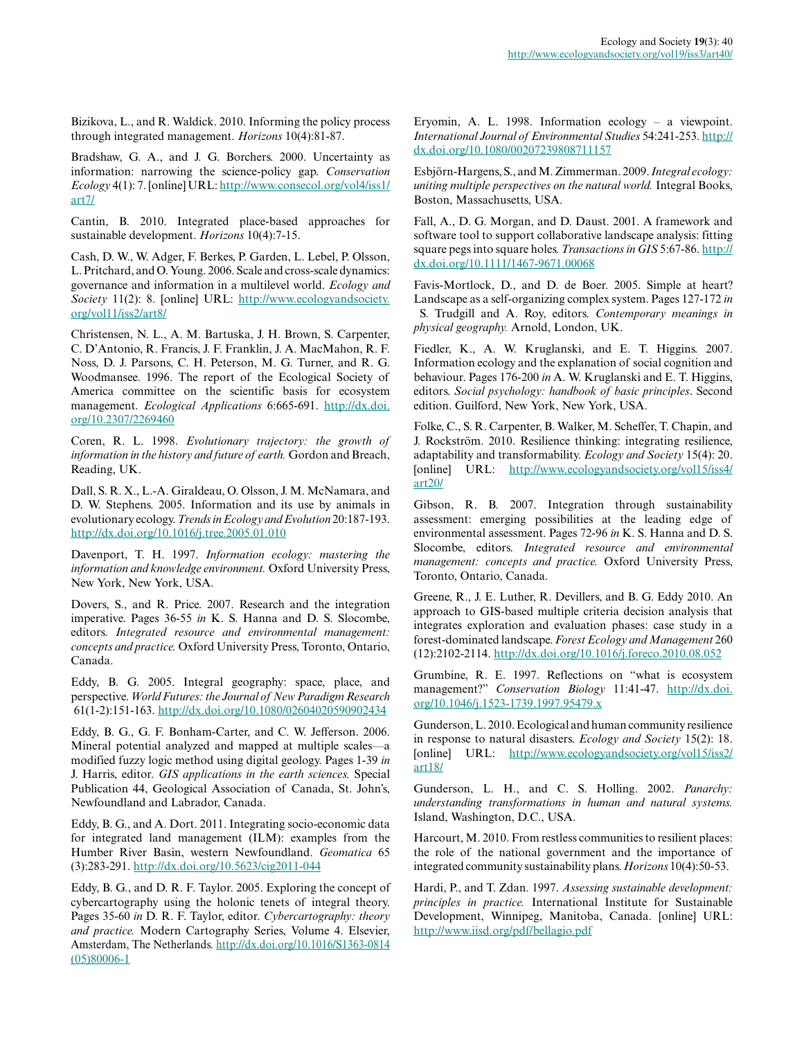Bizikova, L., and R. Waldick. 2010. Informing the policy process through integrated management. *Horizons* 10(4):81-87.

Bradshaw, G. A., and J. G. Borchers. 2000. Uncertainty as information: narrowing the science-policy gap. *Conservation Ecology* 4(1): 7. [online] URL: [http://www.consecol.org/vol4/iss1/](http://www.consecol.org/vol4/iss1/art7/) [art7/](http://www.consecol.org/vol4/iss1/art7/)

Cantin, B. 2010. Integrated place-based approaches for sustainable development. *Horizons* 10(4):7-15.

Cash, D. W., W. Adger, F. Berkes, P. Garden, L. Lebel, P. Olsson, L. Pritchard, and O. Young. 2006. Scale and cross-scale dynamics: governance and information in a multilevel world. *Ecology and Society* 11(2): 8. [online] URL: [http://www.ecologyandsociety.](http://www.ecologyandsociety.org/vol11/iss2/art8/) [org/vol11/iss2/art8/](http://www.ecologyandsociety.org/vol11/iss2/art8/)

Christensen, N. L., A. M. Bartuska, J. H. Brown, S. Carpenter, C. D'Antonio, R. Francis, J. F. Franklin, J. A. MacMahon, R. F. Noss, D. J. Parsons, C. H. Peterson, M. G. Turner, and R. G. Woodmansee. 1996. The report of the Ecological Society of America committee on the scientific basis for ecosystem management. *Ecological Applications* 6:665-691. [http://dx.doi.](http://dx.doi.org/10.2307%2F2269460) [org/10.2307/2269460](http://dx.doi.org/10.2307%2F2269460)

Coren, R. L. 1998. *Evolutionary trajectory: the growth of information in the history and future of earth.* Gordon and Breach, Reading, UK.

Dall, S. R. X., L.-A. Giraldeau, O. Olsson, J. M. McNamara, and D. W. Stephens. 2005. Information and its use by animals in evolutionary ecology. *Trends in Ecology and Evolution* 20:187-193. [http://dx.doi.org/10.1016/j.tree.2005.01.010](http://dx.doi.org/10.1016%2Fj.tree.2005.01.010)

Davenport, T. H. 1997. *Information ecology: mastering the information and knowledge environment.* Oxford University Press, New York, New York, USA.

Dovers, S., and R. Price. 2007. Research and the integration imperative. Pages 36-55 *in* K. S. Hanna and D. S. Slocombe, editors. *Integrated resource and environmental management: concepts and practice.* Oxford University Press, Toronto, Ontario, Canada.

Eddy, B. G. 2005. Integral geography: space, place, and perspective. *World Futures: the Journal of New Paradigm Research* 61(1-2):151-163. [http://dx.doi.org/10.1080/02604020590902434](http://dx.doi.org/10.1080%2F02604020590902434)

Eddy, B. G., G. F. Bonham-Carter, and C. W. Jefferson. 2006. Mineral potential analyzed and mapped at multiple scales—a modified fuzzy logic method using digital geology. Pages 1-39 *in* J. Harris, editor. *GIS applications in the earth sciences.* Special Publication 44, Geological Association of Canada, St. John's, Newfoundland and Labrador, Canada.

Eddy, B. G., and A. Dort. 2011. Integrating socio-economic data for integrated land management (ILM): examples from the Humber River Basin, western Newfoundland. *Geomatica* 65 (3):283-291. [http://dx.doi.org/10.5623/cig2011-044](http://dx.doi.org/10.5623%2Fcig2011-044)

Eddy, B. G., and D. R. F. Taylor. 2005. Exploring the concept of cybercartography using the holonic tenets of integral theory. Pages 35-60 *in* D. R. F. Taylor, editor. *Cybercartography: theory and practice.* Modern Cartography Series, Volume 4. Elsevier, Amsterdam, The Netherlands. [http://dx.doi.org/10.1016/S1363-0814](http://dx.doi.org/10.1016%2FS1363-0814%2805%2980006-1) [\(05\)80006-1](http://dx.doi.org/10.1016%2FS1363-0814%2805%2980006-1)

Eryomin, A. L. 1998. Information ecology – a viewpoint. *International Journal of Environmental Studies* 54:241-253. [http://](http://dx.doi.org/10.1080%2F00207239808711157) [dx.doi.org/10.1080/00207239808711157](http://dx.doi.org/10.1080%2F00207239808711157)

Esbjörn-Hargens, S., and M. Zimmerman. 2009. *Integral ecology: uniting multiple perspectives on the natural world.* Integral Books, Boston, Massachusetts, USA.

Fall, A., D. G. Morgan, and D. Daust. 2001. A framework and software tool to support collaborative landscape analysis: fitting square pegs into square holes. *Transactions in GIS* 5:67-86. [http://](http://dx.doi.org/10.1111%2F1467-9671.00068) [dx.doi.org/10.1111/1467-9671.00068](http://dx.doi.org/10.1111%2F1467-9671.00068)

Favis-Mortlock, D., and D. de Boer. 2005. Simple at heart? Landscape as a self-organizing complex system. Pages 127-172 *in* S. Trudgill and A. Roy, editors. *Contemporary meanings in physical geography.* Arnold, London, UK.

Fiedler, K., A. W. Kruglanski, and E. T. Higgins. 2007. Information ecology and the explanation of social cognition and behaviour. Pages 176-200 *in* A. W. Kruglanski and E. T. Higgins, editors. *Social psychology: handbook of basic principles*. Second edition. Guilford, New York, New York, USA.

Folke, C., S. R. Carpenter, B. Walker, M. Scheffer, T. Chapin, and J. Rockström. 2010. Resilience thinking: integrating resilience, adaptability and transformability. *Ecology and Society* 15(4): 20. [online] URL: [http://www.ecologyandsociety.org/vol15/iss4/](http://www.ecologyandsociety.org/vol15/iss4/art20/) [art20/](http://www.ecologyandsociety.org/vol15/iss4/art20/)

Gibson, R. B. 2007. Integration through sustainability assessment: emerging possibilities at the leading edge of environmental assessment. Pages 72-96 *in* K. S. Hanna and D. S. Slocombe, editors. *Integrated resource and environmental management: concepts and practice.* Oxford University Press, Toronto, Ontario, Canada.

Greene, R., J. E. Luther, R. Devillers, and B. G. Eddy 2010. An approach to GIS-based multiple criteria decision analysis that integrates exploration and evaluation phases: case study in a forest-dominated landscape. *Forest Ecology and Management* 260 (12):2102-2114. [http://dx.doi.org/10.1016/j.foreco.2010.08.052](http://dx.doi.org/10.1016%2Fj.foreco.2010.08.052)

Grumbine, R. E. 1997. Reflections on "what is ecosystem management?" *Conservation Biology* 11:41-47. [http://dx.doi.](http://dx.doi.org/10.1046%2Fj.1523-1739.1997.95479.x) [org/10.1046/j.1523-1739.1997.95479.x](http://dx.doi.org/10.1046%2Fj.1523-1739.1997.95479.x)

Gunderson, L. 2010. Ecological and human community resilience in response to natural disasters. *Ecology and Society* 15(2): 18. [online] URL: [http://www.ecologyandsociety.org/vol15/iss2/](http://www.ecologyandsociety.org/vol15/iss2/art18/) [art18/](http://www.ecologyandsociety.org/vol15/iss2/art18/)

Gunderson, L. H., and C. S. Holling. 2002. *Panarchy: understanding transformations in human and natural systems.* Island, Washington, D.C., USA.

Harcourt, M. 2010. From restless communities to resilient places: the role of the national government and the importance of integrated community sustainability plans. *Horizons* 10(4):50-53.

Hardi, P., and T. Zdan. 1997. *Assessing sustainable development: principles in practice.* International Institute for Sustainable Development, Winnipeg, Manitoba, Canada. [online] URL: <http://www.iisd.org/pdf/bellagio.pdf>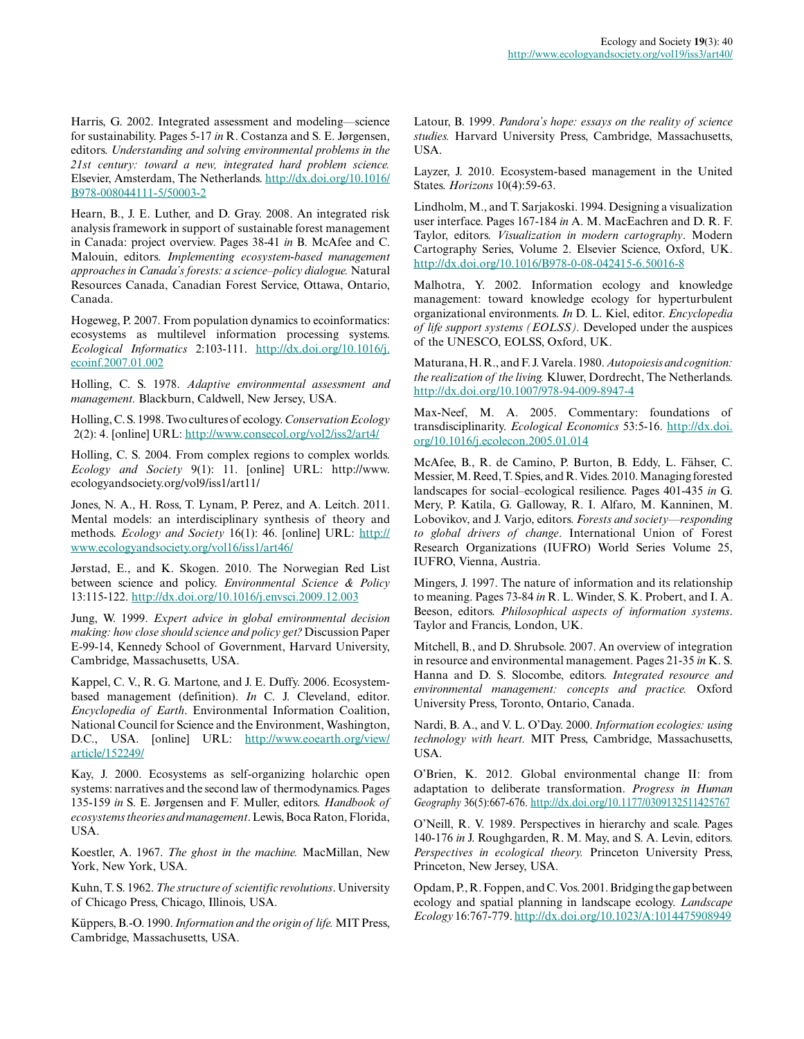Harris, G. 2002. Integrated assessment and modeling—science for sustainability. Pages 5-17 *in* R. Costanza and S. E. Jørgensen, editors. *Understanding and solving environmental problems in the 21st century: toward a new, integrated hard problem science.* Elsevier, Amsterdam, The Netherlands. [http://dx.doi.org/10.1016/](http://dx.doi.org/10.1016%2FB978-008044111-5%2F50003-2) [B978-008044111-5/50003-2](http://dx.doi.org/10.1016%2FB978-008044111-5%2F50003-2)

Hearn, B., J. E. Luther, and D. Gray. 2008. An integrated risk analysis framework in support of sustainable forest management in Canada: project overview. Pages 38-41 *in* B. McAfee and C. Malouin, editors. *Implementing ecosystem-based management approaches in Canada's forests: a science–policy dialogue.* Natural Resources Canada, Canadian Forest Service, Ottawa, Ontario, Canada.

Hogeweg, P. 2007. From population dynamics to ecoinformatics: ecosystems as multilevel information processing systems. *Ecological Informatics* 2:103-111. [http://dx.doi.org/10.1016/j.](http://dx.doi.org/10.1016%2Fj.ecoinf.2007.01.002) [ecoinf.2007.01.002](http://dx.doi.org/10.1016%2Fj.ecoinf.2007.01.002)

Holling, C. S. 1978. *Adaptive environmental assessment and management.* Blackburn, Caldwell, New Jersey, USA.

Holling, C. S. 1998. Two cultures of ecology. *Conservation Ecology* 2(2): 4. [online] URL:<http://www.consecol.org/vol2/iss2/art4/>

Holling, C. S. 2004. From complex regions to complex worlds. *Ecology and Society* 9(1): 11. [online] URL: http://www. ecologyandsociety.org/vol9/iss1/art11/

Jones, N. A., H. Ross, T. Lynam, P. Perez, and A. Leitch. 2011. Mental models: an interdisciplinary synthesis of theory and methods. *Ecology and Society* 16(1): 46. [online] URL: [http://](http://www.ecologyandsociety.org/vol16/iss1/art46/) [www.ecologyandsociety.org/vol16/iss1/art46/](http://www.ecologyandsociety.org/vol16/iss1/art46/)

Jørstad, E., and K. Skogen. 2010. The Norwegian Red List between science and policy. *Environmental Science & Policy* 13:115-122. [http://dx.doi.org/10.1016/j.envsci.2009.12.003](http://dx.doi.org/10.1016%2Fj.envsci.2009.12.003)

Jung, W. 1999. *Expert advice in global environmental decision making: how close should science and policy get?* Discussion Paper E-99-14, Kennedy School of Government, Harvard University, Cambridge, Massachusetts, USA.

Kappel, C. V., R. G. Martone, and J. E. Duffy. 2006. Ecosystembased management (definition). *In* C. J. Cleveland, editor. *Encyclopedia of Earth*. Environmental Information Coalition, National Council for Science and the Environment, Washington, D.C., USA. [online] URL: [http://www.eoearth.org/view/](http://www.eoearth.org/view/article/152249/) [article/152249/](http://www.eoearth.org/view/article/152249/)

Kay, J. 2000. Ecosystems as self-organizing holarchic open systems: narratives and the second law of thermodynamics. Pages 135-159 *in* S. E. Jørgensen and F. Muller, editors. *Handbook of ecosystems theories and management*. Lewis, Boca Raton, Florida, USA.

Koestler, A. 1967. *The ghost in the machine.* MacMillan, New York, New York, USA.

Kuhn, T. S. 1962. *The structure of scientific revolutions*. University of Chicago Press, Chicago, Illinois, USA.

Küppers, B.-O. 1990. *Information and the origin of life.* MIT Press, Cambridge, Massachusetts, USA.

Latour, B. 1999. *Pandora's hope: essays on the reality of science studies.* Harvard University Press, Cambridge, Massachusetts, USA.

Layzer, J. 2010. Ecosystem-based management in the United States. *Horizons* 10(4):59-63.

Lindholm, M., and T. Sarjakoski. 1994. Designing a visualization user interface. Pages 167-184 *in* A. M. MacEachren and D. R. F. Taylor, editors. *Visualization in modern cartography*. Modern Cartography Series, Volume 2. Elsevier Science, Oxford, UK. [http://dx.doi.org/10.1016/B978-0-08-042415-6.50016-8](http://dx.doi.org/10.1016%2FB978-0-08-042415-6.50016-8)

Malhotra, Y. 2002. Information ecology and knowledge management: toward knowledge ecology for hyperturbulent organizational environments. *In* D. L. Kiel, editor. *Encyclopedia of life support systems (EOLSS).* Developed under the auspices of the UNESCO, EOLSS, Oxford, UK.

Maturana, H. R., and F. J. Varela. 1980. *Autopoiesis and cognition: the realization of the living.* Kluwer, Dordrecht, The Netherlands. [http://dx.doi.org/10.1007/978-94-009-8947-4](http://dx.doi.org/10.1007%2F978-94-009-8947-4)

Max-Neef, M. A. 2005. Commentary: foundations of transdisciplinarity. *Ecological Economics* 53:5-16. [http://dx.doi.](http://dx.doi.org/10.1016%2Fj.ecolecon.2005.01.014) [org/10.1016/j.ecolecon.2005.01.014](http://dx.doi.org/10.1016%2Fj.ecolecon.2005.01.014)

McAfee, B., R. de Camino, P. Burton, B. Eddy, L. Fähser, C. Messier, M. Reed, T. Spies, and R. Vides. 2010. Managing forested landscapes for social–ecological resilience. Pages 401-435 *in* G. Mery, P. Katila, G. Galloway, R. I. Alfaro, M. Kanninen, M. Lobovikov, and J. Varjo, editors. *Forests and society—responding to global drivers of change*. International Union of Forest Research Organizations (IUFRO) World Series Volume 25, IUFRO, Vienna, Austria.

Mingers, J. 1997. The nature of information and its relationship to meaning. Pages 73-84 *in* R. L. Winder, S. K. Probert, and I. A. Beeson, editors. *Philosophical aspects of information systems*. Taylor and Francis, London, UK.

Mitchell, B., and D. Shrubsole. 2007. An overview of integration in resource and environmental management. Pages 21-35 *in* K. S. Hanna and D. S. Slocombe, editors. *Integrated resource and environmental management: concepts and practice.* Oxford University Press, Toronto, Ontario, Canada.

Nardi, B. A., and V. L. O'Day. 2000. *Information ecologies: using technology with heart.* MIT Press, Cambridge, Massachusetts, USA.

O'Brien, K. 2012. Global environmental change II: from adaptation to deliberate transformation. *Progress in Human Geography* 36(5):667-676. [http://dx.doi.org/10.1177/0309132511425767](http://dx.doi.org/10.1177%2F0309132511425767)

O'Neill, R. V. 1989. Perspectives in hierarchy and scale. Pages 140-176 *in* J. Roughgarden, R. M. May, and S. A. Levin, editors. *Perspectives in ecological theory.* Princeton University Press, Princeton, New Jersey, USA.

Opdam, P., R. Foppen, and C. Vos. 2001. Bridging the gap between ecology and spatial planning in landscape ecology. *Landscape Ecology* 16:767-779. [http://dx.doi.org/10.1023/A:1014475908949](http://dx.doi.org/10.1023%2FA%3A1014475908949)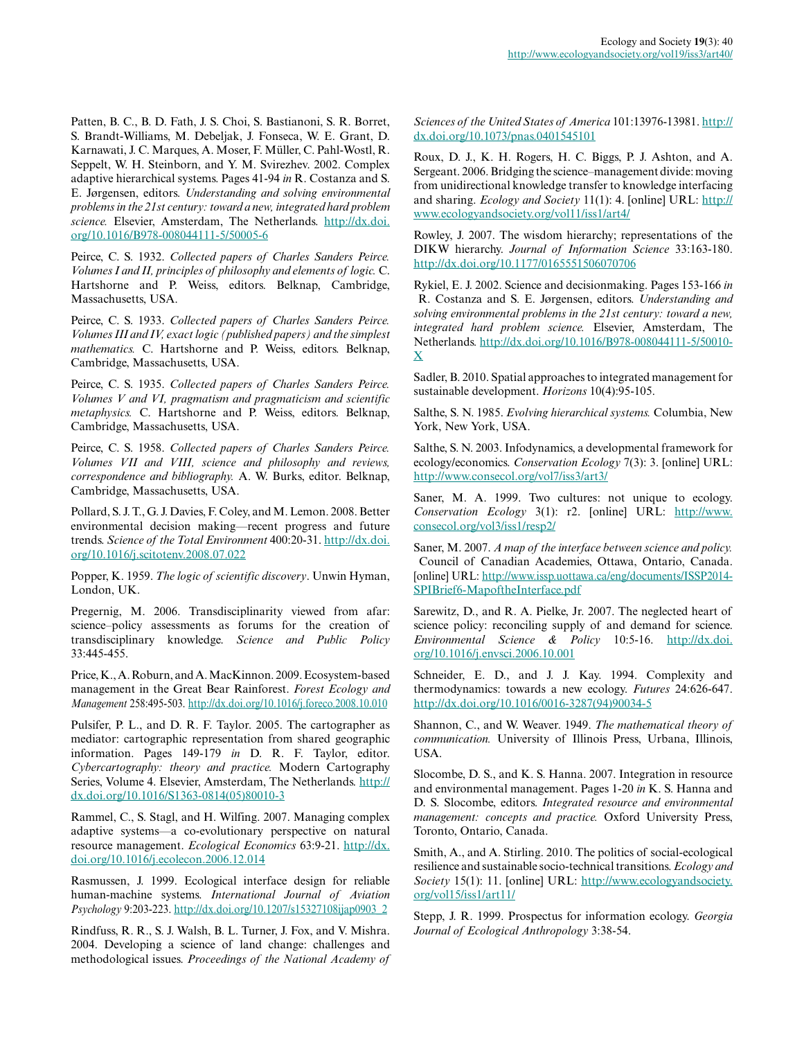Patten, B. C., B. D. Fath, J. S. Choi, S. Bastianoni, S. R. Borret, S. Brandt-Williams, M. Debeljak, J. Fonseca, W. E. Grant, D. Karnawati, J. C. Marques, A. Moser, F. Müller, C. Pahl-Wostl, R. Seppelt, W. H. Steinborn, and Y. M. Svirezhev. 2002. Complex adaptive hierarchical systems. Pages 41-94 *in* R. Costanza and S. E. Jørgensen, editors. *Understanding and solving environmental problems in the 21st century: toward a new, integrated hard problem science.* Elsevier, Amsterdam, The Netherlands. [http://dx.doi.](http://dx.doi.org/10.1016%2FB978-008044111-5%2F50005-6) [org/10.1016/B978-008044111-5/50005-6](http://dx.doi.org/10.1016%2FB978-008044111-5%2F50005-6)

Peirce, C. S. 1932. *Collected papers of Charles Sanders Peirce. Volumes I and II, principles of philosophy and elements of logic.* C. Hartshorne and P. Weiss, editors. Belknap, Cambridge, Massachusetts, USA.

Peirce, C. S. 1933. *Collected papers of Charles Sanders Peirce. Volumes III and IV, exact logic (published papers) and the simplest mathematics.* C. Hartshorne and P. Weiss, editors. Belknap, Cambridge, Massachusetts, USA.

Peirce, C. S. 1935. *Collected papers of Charles Sanders Peirce. Volumes V and VI, pragmatism and pragmaticism and scientific metaphysics.* C. Hartshorne and P. Weiss, editors. Belknap, Cambridge, Massachusetts, USA.

Peirce, C. S. 1958. *Collected papers of Charles Sanders Peirce. Volumes VII and VIII, science and philosophy and reviews, correspondence and bibliography.* A. W. Burks, editor. Belknap, Cambridge, Massachusetts, USA.

Pollard, S. J. T., G. J. Davies, F. Coley, and M. Lemon. 2008. Better environmental decision making—recent progress and future trends. *Science of the Total Environment* 400:20-31. [http://dx.doi.](http://dx.doi.org/10.1016%2Fj.scitotenv.2008.07.022) [org/10.1016/j.scitotenv.2008.07.022](http://dx.doi.org/10.1016%2Fj.scitotenv.2008.07.022)

Popper, K. 1959. *The logic of scientific discovery*. Unwin Hyman, London, UK.

Pregernig, M. 2006. Transdisciplinarity viewed from afar: science–policy assessments as forums for the creation of transdisciplinary knowledge. *Science and Public Policy* 33:445-455.

Price, K., A. Roburn, and A. MacKinnon. 2009. Ecosystem-based management in the Great Bear Rainforest. *Forest Ecology and Management* 258:495-503. [http://dx.doi.org/10.1016/j.foreco.2008.10.010](http://dx.doi.org/10.1016%2Fj.foreco.2008.10.010)

Pulsifer, P. L., and D. R. F. Taylor. 2005. The cartographer as mediator: cartographic representation from shared geographic information. Pages 149-179 *in* D. R. F. Taylor, editor. *Cybercartography: theory and practice.* Modern Cartography Series, Volume 4. Elsevier, Amsterdam, The Netherlands. [http://](http://dx.doi.org/10.1016%2FS1363-0814%2805%2980010-3) [dx.doi.org/10.1016/S1363-0814\(05\)80010-3](http://dx.doi.org/10.1016%2FS1363-0814%2805%2980010-3)

Rammel, C., S. Stagl, and H. Wilfing. 2007. Managing complex adaptive systems—a co-evolutionary perspective on natural resource management. *Ecological Economics* 63:9-21. [http://dx.](http://dx.doi.org/10.1016%2Fj.ecolecon.2006.12.014) [doi.org/10.1016/j.ecolecon.2006.12.014](http://dx.doi.org/10.1016%2Fj.ecolecon.2006.12.014)

Rasmussen, J. 1999. Ecological interface design for reliable human-machine systems. *International Journal of Aviation Psychology* 9:203-223. [http://dx.doi.org/10.1207/s15327108ijap0903\\_2](http://dx.doi.org/10.1207%2Fs15327108ijap0903_2)

Rindfuss, R. R., S. J. Walsh, B. L. Turner, J. Fox, and V. Mishra. 2004. Developing a science of land change: challenges and methodological issues. *Proceedings of the National Academy of* *Sciences of the United States of America* 101:13976-13981. [http://](http://dx.doi.org/10.1073%2Fpnas.0401545101) [dx.doi.org/10.1073/pnas.0401545101](http://dx.doi.org/10.1073%2Fpnas.0401545101)

Roux, D. J., K. H. Rogers, H. C. Biggs, P. J. Ashton, and A. Sergeant. 2006. Bridging the science–management divide: moving from unidirectional knowledge transfer to knowledge interfacing and sharing. *Ecology and Society* 11(1): 4. [online] URL: [http://](http://www.ecologyandsociety.org/vol11/iss1/art4/) [www.ecologyandsociety.org/vol11/iss1/art4/](http://www.ecologyandsociety.org/vol11/iss1/art4/)

Rowley, J. 2007. The wisdom hierarchy; representations of the DIKW hierarchy. *Journal of Information Science* 33:163-180. [http://dx.doi.org/10.1177/0165551506070706](http://dx.doi.org/10.1177%2F0165551506070706)

Rykiel, E. J. 2002. Science and decisionmaking. Pages 153-166 *in* R. Costanza and S. E. Jørgensen, editors. *Understanding and solving environmental problems in the 21st century: toward a new, integrated hard problem science.* Elsevier, Amsterdam, The Netherlands. [http://dx.doi.org/10.1016/B978-008044111-5/50010-](http://dx.doi.org/10.1016%2FB978-008044111-5%2F50010-X) [X](http://dx.doi.org/10.1016%2FB978-008044111-5%2F50010-X)

Sadler, B. 2010. Spatial approaches to integrated management for sustainable development. *Horizons* 10(4):95-105.

Salthe, S. N. 1985. *Evolving hierarchical systems.* Columbia, New York, New York, USA.

Salthe, S. N. 2003. Infodynamics, a developmental framework for ecology/economics. *Conservation Ecology* 7(3): 3. [online] URL: <http://www.consecol.org/vol7/iss3/art3/>

Saner, M. A. 1999. Two cultures: not unique to ecology. *Conservation Ecology* 3(1): r2. [online] URL: [http://www.](http://www.consecol.org/vol3/iss1/resp2/) [consecol.org/vol3/iss1/resp2/](http://www.consecol.org/vol3/iss1/resp2/)

Saner, M. 2007. *A map of the interface between science and policy.* Council of Canadian Academies, Ottawa, Ontario, Canada. [online] URL: [http://www.issp.uottawa.ca/eng/documents/ISSP2014-](http://www.issp.uottawa.ca/eng/documents/ISSP2014-SPIBrief6-MapoftheInterface.pdf) [SPIBrief6-MapoftheInterface.pdf](http://www.issp.uottawa.ca/eng/documents/ISSP2014-SPIBrief6-MapoftheInterface.pdf)

Sarewitz, D., and R. A. Pielke, Jr. 2007. The neglected heart of science policy: reconciling supply of and demand for science. *Environmental Science & Policy* 10:5-16. [http://dx.doi.](http://dx.doi.org/10.1016%2Fj.envsci.2006.10.001) [org/10.1016/j.envsci.2006.10.001](http://dx.doi.org/10.1016%2Fj.envsci.2006.10.001)

Schneider, E. D., and J. J. Kay. 1994. Complexity and thermodynamics: towards a new ecology. *Futures* 24:626-647. [http://dx.doi.org/10.1016/0016-3287\(94\)90034-5](http://dx.doi.org/10.1016%2F0016-3287%2894%2990034-5)

Shannon, C., and W. Weaver. 1949. *The mathematical theory of communication.* University of Illinois Press, Urbana, Illinois, USA.

Slocombe, D. S., and K. S. Hanna. 2007. Integration in resource and environmental management. Pages 1-20 *in* K. S. Hanna and D. S. Slocombe, editors. *Integrated resource and environmental management: concepts and practice.* Oxford University Press, Toronto, Ontario, Canada.

Smith, A., and A. Stirling. 2010. The politics of social-ecological resilience and sustainable socio-technical transitions. *Ecology and Society* 15(1): 11. [online] URL: [http://www.ecologyandsociety.](http://www.ecologyandsociety.org/vol15/iss1/art11/) [org/vol15/iss1/art11/](http://www.ecologyandsociety.org/vol15/iss1/art11/)

Stepp, J. R. 1999. Prospectus for information ecology. *Georgia Journal of Ecological Anthropology* 3:38-54.